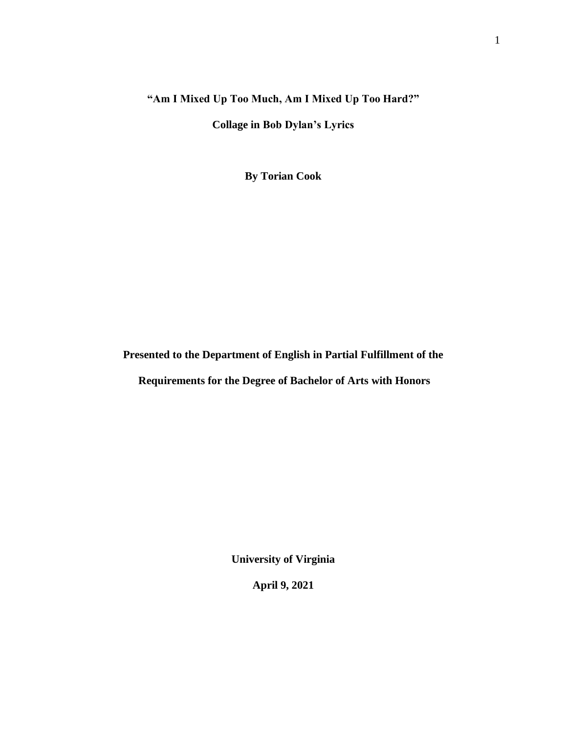### **"Am I Mixed Up Too Much, Am I Mixed Up Too Hard?"**

**Collage in Bob Dylan's Lyrics**

**By Torian Cook**

**Presented to the Department of English in Partial Fulfillment of the**

**Requirements for the Degree of Bachelor of Arts with Honors**

**University of Virginia**

**April 9, 2021**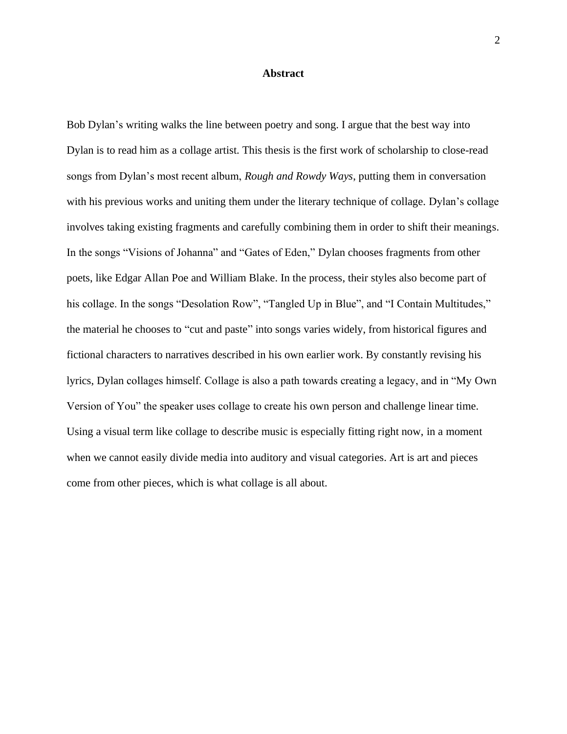#### **Abstract**

Bob Dylan's writing walks the line between poetry and song. I argue that the best way into Dylan is to read him as a collage artist. This thesis is the first work of scholarship to close-read songs from Dylan's most recent album, *Rough and Rowdy Ways*, putting them in conversation with his previous works and uniting them under the literary technique of collage. Dylan's collage involves taking existing fragments and carefully combining them in order to shift their meanings. In the songs "Visions of Johanna" and "Gates of Eden," Dylan chooses fragments from other poets, like Edgar Allan Poe and William Blake. In the process, their styles also become part of his collage. In the songs "Desolation Row", "Tangled Up in Blue", and "I Contain Multitudes," the material he chooses to "cut and paste" into songs varies widely, from historical figures and fictional characters to narratives described in his own earlier work. By constantly revising his lyrics, Dylan collages himself. Collage is also a path towards creating a legacy, and in "My Own Version of You" the speaker uses collage to create his own person and challenge linear time. Using a visual term like collage to describe music is especially fitting right now, in a moment when we cannot easily divide media into auditory and visual categories. Art is art and pieces come from other pieces, which is what collage is all about.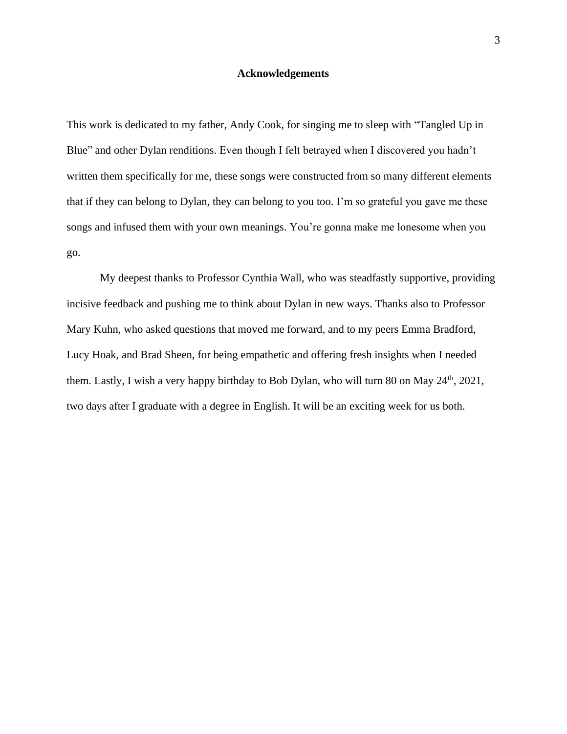#### **Acknowledgements**

This work is dedicated to my father, Andy Cook, for singing me to sleep with "Tangled Up in Blue" and other Dylan renditions. Even though I felt betrayed when I discovered you hadn't written them specifically for me, these songs were constructed from so many different elements that if they can belong to Dylan, they can belong to you too. I'm so grateful you gave me these songs and infused them with your own meanings. You're gonna make me lonesome when you go.

My deepest thanks to Professor Cynthia Wall, who was steadfastly supportive, providing incisive feedback and pushing me to think about Dylan in new ways. Thanks also to Professor Mary Kuhn, who asked questions that moved me forward, and to my peers Emma Bradford, Lucy Hoak, and Brad Sheen, for being empathetic and offering fresh insights when I needed them. Lastly, I wish a very happy birthday to Bob Dylan, who will turn 80 on May 24<sup>th</sup>, 2021, two days after I graduate with a degree in English. It will be an exciting week for us both.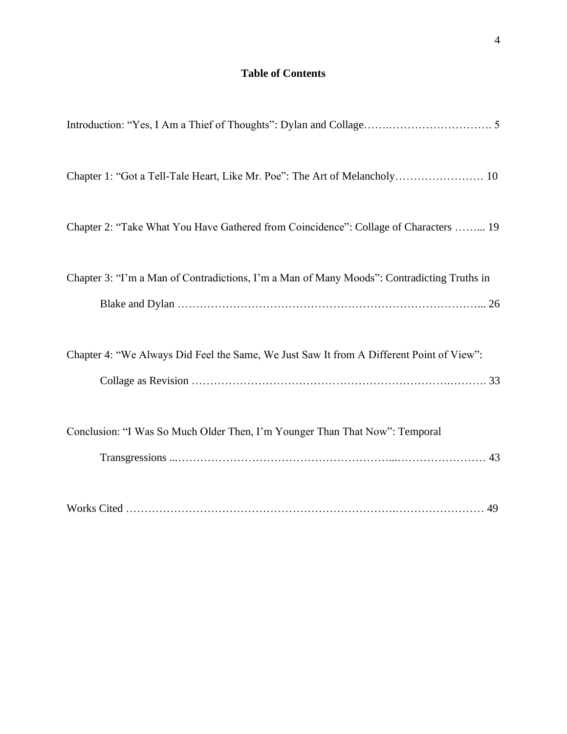### **Table of Contents**

| Chapter 1: "Got a Tell-Tale Heart, Like Mr. Poe": The Art of Melancholy 10                 |
|--------------------------------------------------------------------------------------------|
| Chapter 2: "Take What You Have Gathered from Coincidence": Collage of Characters  19       |
| Chapter 3: "I'm a Man of Contradictions, I'm a Man of Many Moods": Contradicting Truths in |
| Chapter 4: "We Always Did Feel the Same, We Just Saw It from A Different Point of View":   |
| Conclusion: "I Was So Much Older Then, I'm Younger Than That Now": Temporal                |
|                                                                                            |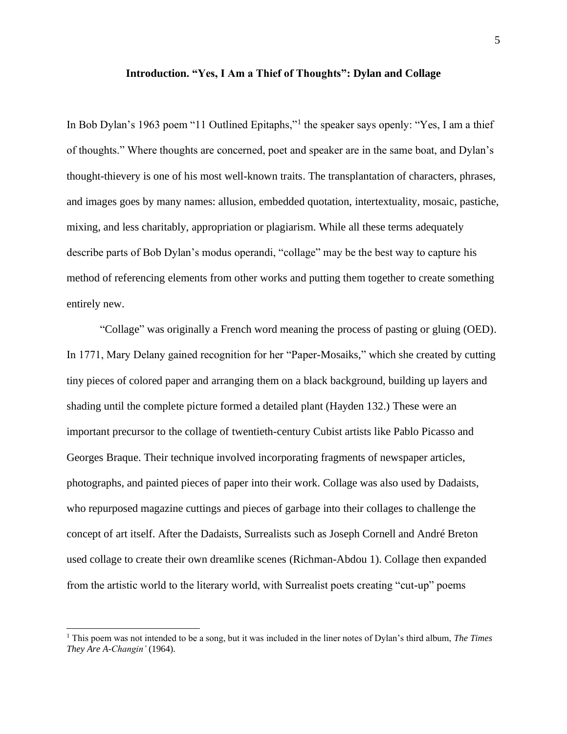#### **Introduction. "Yes, I Am a Thief of Thoughts": Dylan and Collage**

In Bob Dylan's 1963 poem "11 Outlined Epitaphs,"<sup>1</sup> the speaker says openly: "Yes, I am a thief of thoughts." Where thoughts are concerned, poet and speaker are in the same boat, and Dylan's thought-thievery is one of his most well-known traits. The transplantation of characters, phrases, and images goes by many names: allusion, embedded quotation, intertextuality, mosaic, pastiche, mixing, and less charitably, appropriation or plagiarism. While all these terms adequately describe parts of Bob Dylan's modus operandi, "collage" may be the best way to capture his method of referencing elements from other works and putting them together to create something entirely new.

"Collage" was originally a French word meaning the process of pasting or gluing (OED). In 1771, Mary Delany gained recognition for her "Paper-Mosaiks," which she created by cutting tiny pieces of colored paper and arranging them on a black background, building up layers and shading until the complete picture formed a detailed plant (Hayden 132.) These were an important precursor to the collage of twentieth-century Cubist artists like Pablo Picasso and Georges Braque. Their technique involved incorporating fragments of newspaper articles, photographs, and painted pieces of paper into their work. Collage was also used by Dadaists, who repurposed magazine cuttings and pieces of garbage into their collages to challenge the concept of art itself. After the Dadaists, Surrealists such as Joseph Cornell and André Breton used collage to create their own dreamlike scenes (Richman-Abdou 1). Collage then expanded from the artistic world to the literary world, with Surrealist poets creating "cut-up" poems

<sup>1</sup> This poem was not intended to be a song, but it was included in the liner notes of Dylan's third album, *The Times They Are A-Changin'* (1964).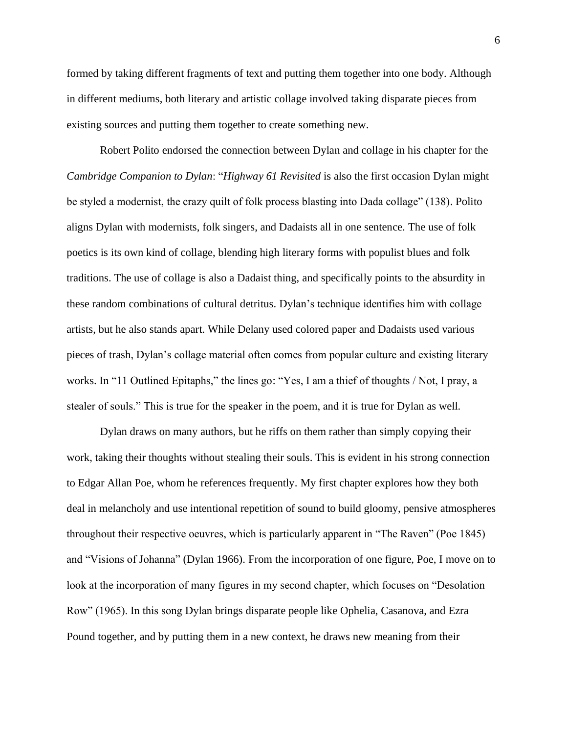formed by taking different fragments of text and putting them together into one body. Although in different mediums, both literary and artistic collage involved taking disparate pieces from existing sources and putting them together to create something new.

Robert Polito endorsed the connection between Dylan and collage in his chapter for the *Cambridge Companion to Dylan*: "*Highway 61 Revisited* is also the first occasion Dylan might be styled a modernist, the crazy quilt of folk process blasting into Dada collage" (138). Polito aligns Dylan with modernists, folk singers, and Dadaists all in one sentence. The use of folk poetics is its own kind of collage, blending high literary forms with populist blues and folk traditions. The use of collage is also a Dadaist thing, and specifically points to the absurdity in these random combinations of cultural detritus. Dylan's technique identifies him with collage artists, but he also stands apart. While Delany used colored paper and Dadaists used various pieces of trash, Dylan's collage material often comes from popular culture and existing literary works. In "11 Outlined Epitaphs," the lines go: "Yes, I am a thief of thoughts / Not, I pray, a stealer of souls." This is true for the speaker in the poem, and it is true for Dylan as well.

Dylan draws on many authors, but he riffs on them rather than simply copying their work, taking their thoughts without stealing their souls. This is evident in his strong connection to Edgar Allan Poe, whom he references frequently. My first chapter explores how they both deal in melancholy and use intentional repetition of sound to build gloomy, pensive atmospheres throughout their respective oeuvres, which is particularly apparent in "The Raven" (Poe 1845) and "Visions of Johanna" (Dylan 1966). From the incorporation of one figure, Poe, I move on to look at the incorporation of many figures in my second chapter, which focuses on "Desolation Row" (1965). In this song Dylan brings disparate people like Ophelia, Casanova, and Ezra Pound together, and by putting them in a new context, he draws new meaning from their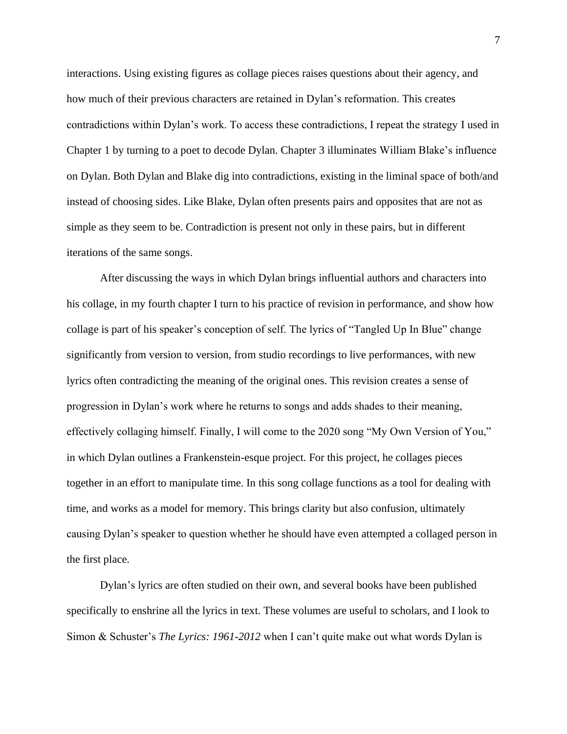interactions. Using existing figures as collage pieces raises questions about their agency, and how much of their previous characters are retained in Dylan's reformation. This creates contradictions within Dylan's work. To access these contradictions, I repeat the strategy I used in Chapter 1 by turning to a poet to decode Dylan. Chapter 3 illuminates William Blake's influence on Dylan. Both Dylan and Blake dig into contradictions, existing in the liminal space of both/and instead of choosing sides. Like Blake, Dylan often presents pairs and opposites that are not as simple as they seem to be. Contradiction is present not only in these pairs, but in different iterations of the same songs.

After discussing the ways in which Dylan brings influential authors and characters into his collage, in my fourth chapter I turn to his practice of revision in performance, and show how collage is part of his speaker's conception of self. The lyrics of "Tangled Up In Blue" change significantly from version to version, from studio recordings to live performances, with new lyrics often contradicting the meaning of the original ones. This revision creates a sense of progression in Dylan's work where he returns to songs and adds shades to their meaning, effectively collaging himself. Finally, I will come to the 2020 song "My Own Version of You," in which Dylan outlines a Frankenstein-esque project. For this project, he collages pieces together in an effort to manipulate time. In this song collage functions as a tool for dealing with time, and works as a model for memory. This brings clarity but also confusion, ultimately causing Dylan's speaker to question whether he should have even attempted a collaged person in the first place.

Dylan's lyrics are often studied on their own, and several books have been published specifically to enshrine all the lyrics in text. These volumes are useful to scholars, and I look to Simon & Schuster's *The Lyrics: 1961-2012* when I can't quite make out what words Dylan is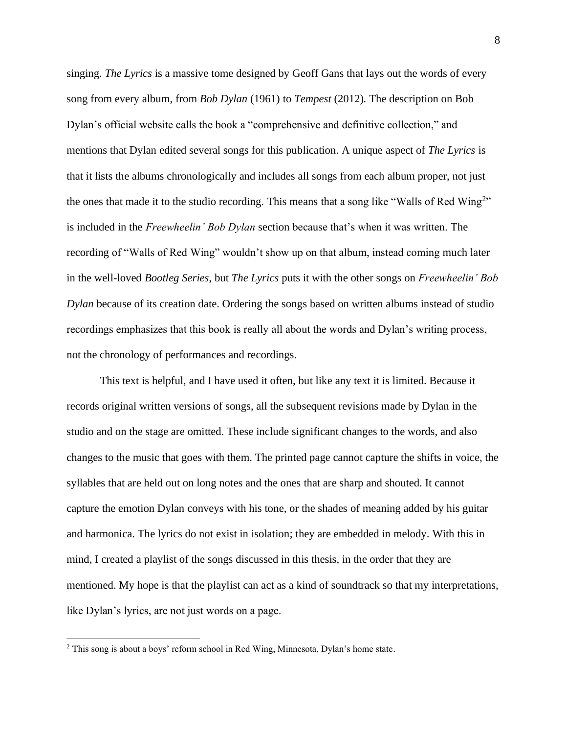singing. *The Lyrics* is a massive tome designed by Geoff Gans that lays out the words of every song from every album, from *Bob Dylan* (1961) to *Tempest* (2012)*.* The description on Bob Dylan's official website calls the book a "comprehensive and definitive collection," and mentions that Dylan edited several songs for this publication. A unique aspect of *The Lyrics* is that it lists the albums chronologically and includes all songs from each album proper, not just the ones that made it to the studio recording. This means that a song like "Walls of Red Wing<sup>2</sup>" is included in the *Freewheelin' Bob Dylan* section because that's when it was written. The recording of "Walls of Red Wing" wouldn't show up on that album, instead coming much later in the well-loved *Bootleg Series*, but *The Lyrics* puts it with the other songs on *Freewheelin' Bob Dylan* because of its creation date. Ordering the songs based on written albums instead of studio recordings emphasizes that this book is really all about the words and Dylan's writing process, not the chronology of performances and recordings.

This text is helpful, and I have used it often, but like any text it is limited. Because it records original written versions of songs, all the subsequent revisions made by Dylan in the studio and on the stage are omitted. These include significant changes to the words, and also changes to the music that goes with them. The printed page cannot capture the shifts in voice, the syllables that are held out on long notes and the ones that are sharp and shouted. It cannot capture the emotion Dylan conveys with his tone, or the shades of meaning added by his guitar and harmonica. The lyrics do not exist in isolation; they are embedded in melody. With this in mind, I created a playlist of the songs discussed in this thesis, in the order that they are mentioned. My hope is that the playlist can act as a kind of soundtrack so that my interpretations, like Dylan's lyrics, are not just words on a page.

<sup>&</sup>lt;sup>2</sup> This song is about a boys' reform school in Red Wing, Minnesota, Dylan's home state.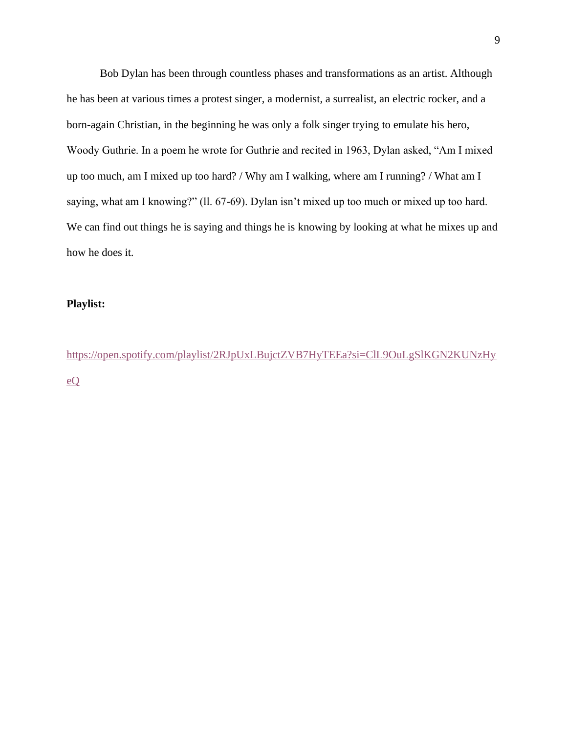Bob Dylan has been through countless phases and transformations as an artist. Although he has been at various times a protest singer, a modernist, a surrealist, an electric rocker, and a born-again Christian, in the beginning he was only a folk singer trying to emulate his hero, Woody Guthrie. In a poem he wrote for Guthrie and recited in 1963, Dylan asked, "Am I mixed up too much, am I mixed up too hard? / Why am I walking, where am I running? / What am I saying, what am I knowing?" (ll. 67-69). Dylan isn't mixed up too much or mixed up too hard. We can find out things he is saying and things he is knowing by looking at what he mixes up and how he does it.

#### **Playlist:**

[https://open.spotify.com/playlist/2RJpUxLBujctZVB7HyTEEa?si=ClL9OuLgSlKGN2KUNzHy](https://open.spotify.com/playlist/2RJpUxLBujctZVB7HyTEEa?si=ClL9OuLgSlKGN2KUNzHyeQ) [eQ](https://open.spotify.com/playlist/2RJpUxLBujctZVB7HyTEEa?si=ClL9OuLgSlKGN2KUNzHyeQ)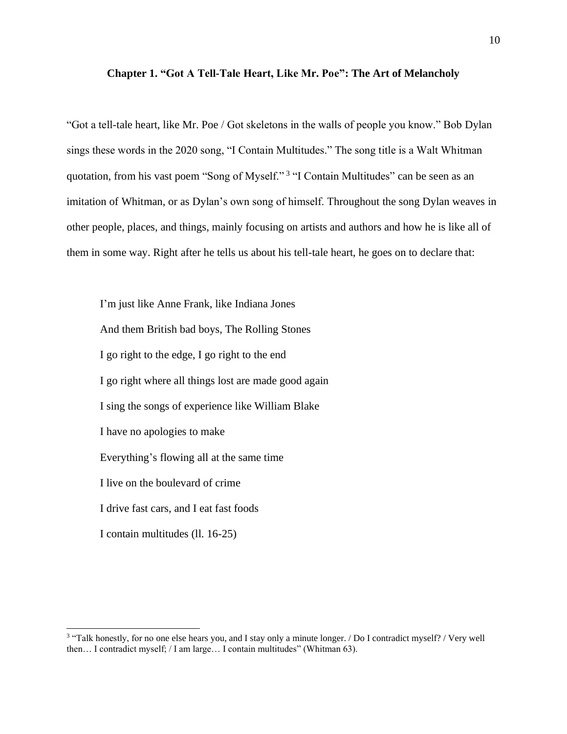#### **Chapter 1. "Got A Tell-Tale Heart, Like Mr. Poe": The Art of Melancholy**

"Got a tell-tale heart, like Mr. Poe / Got skeletons in the walls of people you know." Bob Dylan sings these words in the 2020 song, "I Contain Multitudes." The song title is a Walt Whitman quotation, from his vast poem "Song of Myself."<sup>3</sup> "I Contain Multitudes" can be seen as an imitation of Whitman, or as Dylan's own song of himself. Throughout the song Dylan weaves in other people, places, and things, mainly focusing on artists and authors and how he is like all of them in some way. Right after he tells us about his tell-tale heart, he goes on to declare that:

I'm just like Anne Frank, like Indiana Jones And them British bad boys, The Rolling Stones I go right to the edge, I go right to the end I go right where all things lost are made good again I sing the songs of experience like William Blake I have no apologies to make Everything's flowing all at the same time I live on the boulevard of crime I drive fast cars, and I eat fast foods I contain multitudes (ll. 16-25)

<sup>&</sup>lt;sup>3</sup> "Talk honestly, for no one else hears you, and I stay only a minute longer. / Do I contradict myself? / Very well then… I contradict myself; / I am large… I contain multitudes" (Whitman 63).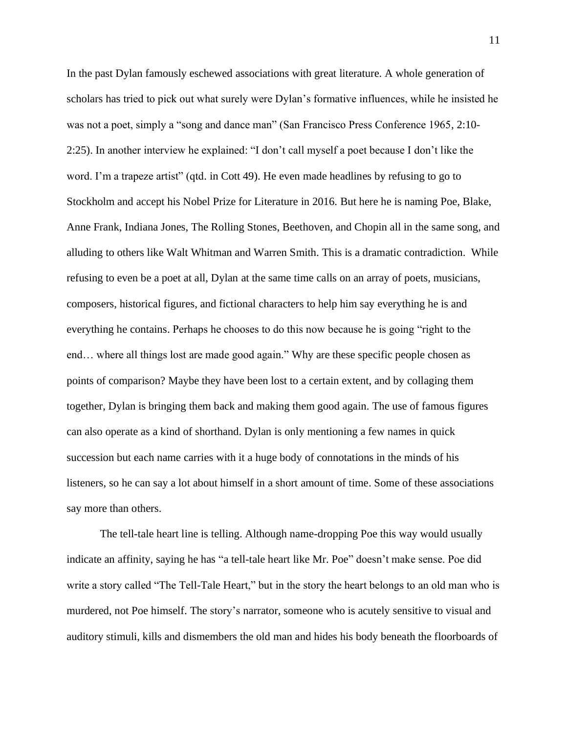In the past Dylan famously eschewed associations with great literature. A whole generation of scholars has tried to pick out what surely were Dylan's formative influences, while he insisted he was not a poet, simply a "song and dance man" (San Francisco Press Conference 1965, 2:10-2:25). In another interview he explained: "I don't call myself a poet because I don't like the word. I'm a trapeze artist" (qtd. in Cott 49). He even made headlines by refusing to go to Stockholm and accept his Nobel Prize for Literature in 2016. But here he is naming Poe, Blake, Anne Frank, Indiana Jones, The Rolling Stones, Beethoven, and Chopin all in the same song, and alluding to others like Walt Whitman and Warren Smith. This is a dramatic contradiction. While refusing to even be a poet at all, Dylan at the same time calls on an array of poets, musicians, composers, historical figures, and fictional characters to help him say everything he is and everything he contains. Perhaps he chooses to do this now because he is going "right to the end… where all things lost are made good again." Why are these specific people chosen as points of comparison? Maybe they have been lost to a certain extent, and by collaging them together, Dylan is bringing them back and making them good again. The use of famous figures can also operate as a kind of shorthand. Dylan is only mentioning a few names in quick succession but each name carries with it a huge body of connotations in the minds of his listeners, so he can say a lot about himself in a short amount of time. Some of these associations say more than others.

The tell-tale heart line is telling. Although name-dropping Poe this way would usually indicate an affinity, saying he has "a tell-tale heart like Mr. Poe" doesn't make sense. Poe did write a story called "The Tell-Tale Heart," but in the story the heart belongs to an old man who is murdered, not Poe himself. The story's narrator, someone who is acutely sensitive to visual and auditory stimuli, kills and dismembers the old man and hides his body beneath the floorboards of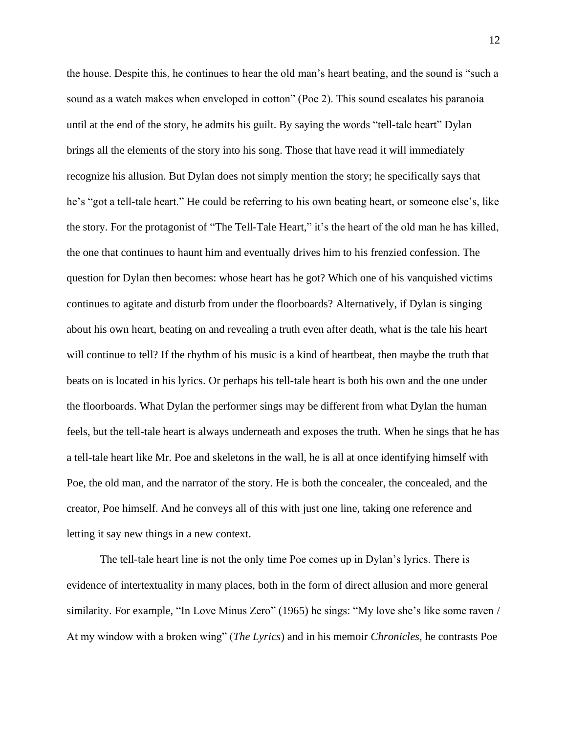the house. Despite this, he continues to hear the old man's heart beating, and the sound is "such a sound as a watch makes when enveloped in cotton" (Poe 2). This sound escalates his paranoia until at the end of the story, he admits his guilt. By saying the words "tell-tale heart" Dylan brings all the elements of the story into his song. Those that have read it will immediately recognize his allusion. But Dylan does not simply mention the story; he specifically says that he's "got a tell-tale heart." He could be referring to his own beating heart, or someone else's, like the story. For the protagonist of "The Tell-Tale Heart," it's the heart of the old man he has killed, the one that continues to haunt him and eventually drives him to his frenzied confession. The question for Dylan then becomes: whose heart has he got? Which one of his vanquished victims continues to agitate and disturb from under the floorboards? Alternatively, if Dylan is singing about his own heart, beating on and revealing a truth even after death, what is the tale his heart will continue to tell? If the rhythm of his music is a kind of heartbeat, then maybe the truth that beats on is located in his lyrics. Or perhaps his tell-tale heart is both his own and the one under the floorboards. What Dylan the performer sings may be different from what Dylan the human feels, but the tell-tale heart is always underneath and exposes the truth. When he sings that he has a tell-tale heart like Mr. Poe and skeletons in the wall, he is all at once identifying himself with Poe, the old man, and the narrator of the story. He is both the concealer, the concealed, and the creator, Poe himself. And he conveys all of this with just one line, taking one reference and letting it say new things in a new context.

The tell-tale heart line is not the only time Poe comes up in Dylan's lyrics. There is evidence of intertextuality in many places, both in the form of direct allusion and more general similarity. For example, "In Love Minus Zero" (1965) he sings: "My love she's like some raven / At my window with a broken wing" (*The Lyrics*) and in his memoir *Chronicles,* he contrasts Poe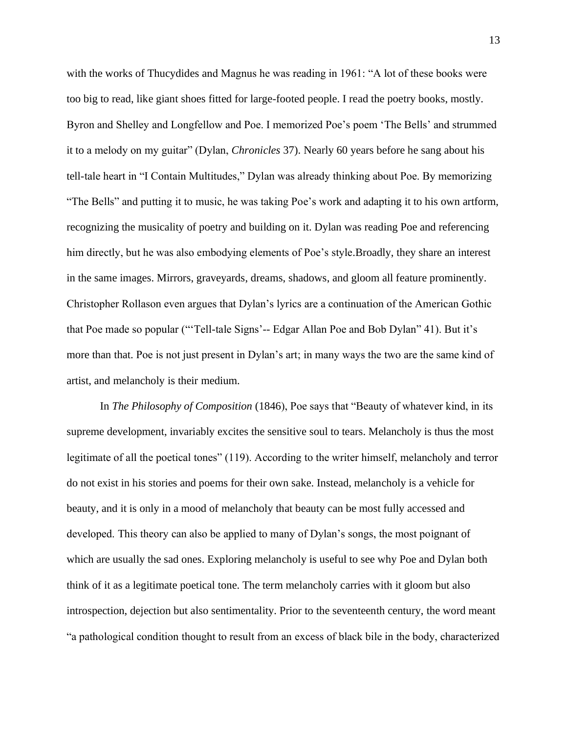with the works of Thucydides and Magnus he was reading in 1961: "A lot of these books were too big to read, like giant shoes fitted for large-footed people. I read the poetry books, mostly. Byron and Shelley and Longfellow and Poe. I memorized Poe's poem 'The Bells' and strummed it to a melody on my guitar" (Dylan, *Chronicles* 37). Nearly 60 years before he sang about his tell-tale heart in "I Contain Multitudes," Dylan was already thinking about Poe. By memorizing "The Bells" and putting it to music, he was taking Poe's work and adapting it to his own artform, recognizing the musicality of poetry and building on it. Dylan was reading Poe and referencing him directly, but he was also embodying elements of Poe's style.Broadly, they share an interest in the same images. Mirrors, graveyards, dreams, shadows, and gloom all feature prominently. Christopher Rollason even argues that Dylan's lyrics are a continuation of the American Gothic that Poe made so popular ("'Tell-tale Signs'-- Edgar Allan Poe and Bob Dylan" 41). But it's more than that. Poe is not just present in Dylan's art; in many ways the two are the same kind of artist, and melancholy is their medium.

In *The Philosophy of Composition* (1846), Poe says that "Beauty of whatever kind, in its supreme development, invariably excites the sensitive soul to tears. Melancholy is thus the most legitimate of all the poetical tones" (119). According to the writer himself, melancholy and terror do not exist in his stories and poems for their own sake. Instead, melancholy is a vehicle for beauty, and it is only in a mood of melancholy that beauty can be most fully accessed and developed. This theory can also be applied to many of Dylan's songs, the most poignant of which are usually the sad ones. Exploring melancholy is useful to see why Poe and Dylan both think of it as a legitimate poetical tone. The term melancholy carries with it gloom but also introspection, dejection but also sentimentality. Prior to the seventeenth century, the word meant "a pathological condition thought to result from an excess of black bile in the body, characterized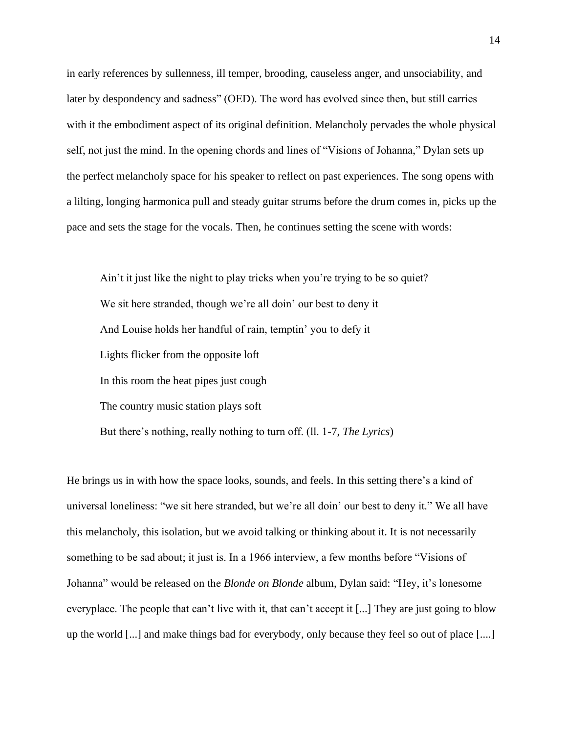in early references by sullenness, ill temper, brooding, causeless anger, and unsociability, and later by despondency and sadness" (OED). The word has evolved since then, but still carries with it the embodiment aspect of its original definition. Melancholy pervades the whole physical self, not just the mind. In the opening chords and lines of "Visions of Johanna," Dylan sets up the perfect melancholy space for his speaker to reflect on past experiences. The song opens with a lilting, longing harmonica pull and steady guitar strums before the drum comes in, picks up the pace and sets the stage for the vocals. Then, he continues setting the scene with words:

Ain't it just like the night to play tricks when you're trying to be so quiet? We sit here stranded, though we're all doin' our best to deny it And Louise holds her handful of rain, temptin' you to defy it Lights flicker from the opposite loft In this room the heat pipes just cough The country music station plays soft But there's nothing, really nothing to turn off. (ll. 1-7, *The Lyrics*)

He brings us in with how the space looks, sounds, and feels. In this setting there's a kind of universal loneliness: "we sit here stranded, but we're all doin' our best to deny it." We all have this melancholy, this isolation, but we avoid talking or thinking about it. It is not necessarily something to be sad about; it just is. In a 1966 interview, a few months before "Visions of Johanna" would be released on the *Blonde on Blonde* album, Dylan said: "Hey, it's lonesome everyplace. The people that can't live with it, that can't accept it [...] They are just going to blow up the world [...] and make things bad for everybody, only because they feel so out of place [....]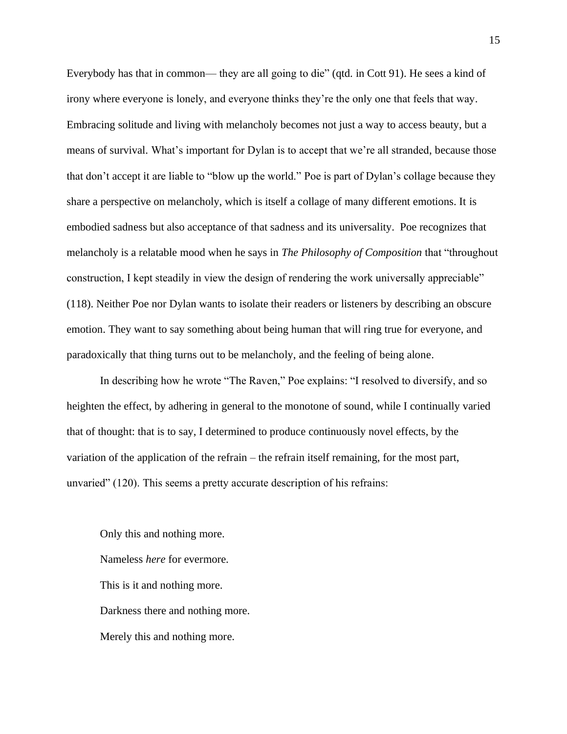Everybody has that in common— they are all going to die" (qtd. in Cott 91). He sees a kind of irony where everyone is lonely, and everyone thinks they're the only one that feels that way. Embracing solitude and living with melancholy becomes not just a way to access beauty, but a means of survival. What's important for Dylan is to accept that we're all stranded, because those that don't accept it are liable to "blow up the world." Poe is part of Dylan's collage because they share a perspective on melancholy, which is itself a collage of many different emotions. It is embodied sadness but also acceptance of that sadness and its universality. Poe recognizes that melancholy is a relatable mood when he says in *The Philosophy of Composition* that "throughout construction, I kept steadily in view the design of rendering the work universally appreciable" (118). Neither Poe nor Dylan wants to isolate their readers or listeners by describing an obscure emotion. They want to say something about being human that will ring true for everyone, and paradoxically that thing turns out to be melancholy, and the feeling of being alone.

In describing how he wrote "The Raven," Poe explains: "I resolved to diversify, and so heighten the effect, by adhering in general to the monotone of sound, while I continually varied that of thought: that is to say, I determined to produce continuously novel effects, by the variation of the application of the refrain – the refrain itself remaining, for the most part, unvaried" (120). This seems a pretty accurate description of his refrains:

Only this and nothing more. Nameless *here* for evermore. This is it and nothing more. Darkness there and nothing more. Merely this and nothing more.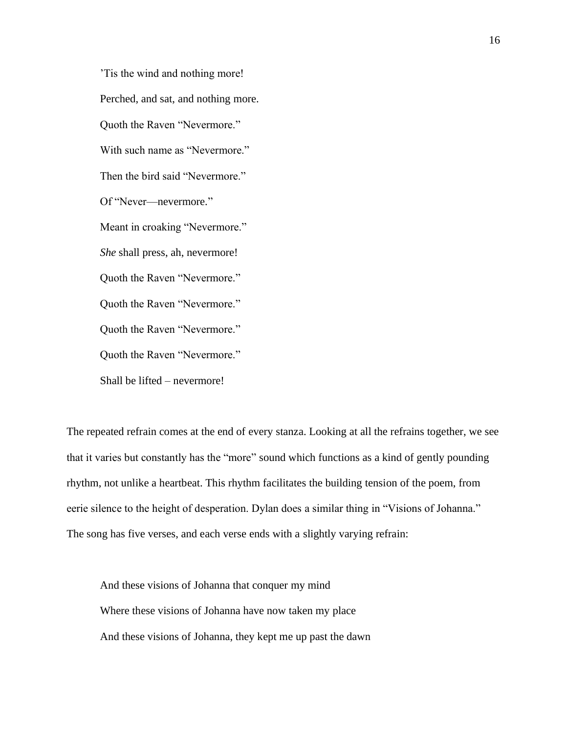'Tis the wind and nothing more! Perched, and sat, and nothing more. Quoth the Raven "Nevermore." With such name as "Nevermore." Then the bird said "Nevermore." Of "Never—nevermore." Meant in croaking "Nevermore." *She* shall press, ah, nevermore! Quoth the Raven "Nevermore." Quoth the Raven "Nevermore." Quoth the Raven "Nevermore." Quoth the Raven "Nevermore." Shall be lifted – nevermore!

The repeated refrain comes at the end of every stanza. Looking at all the refrains together, we see that it varies but constantly has the "more" sound which functions as a kind of gently pounding rhythm, not unlike a heartbeat. This rhythm facilitates the building tension of the poem, from eerie silence to the height of desperation. Dylan does a similar thing in "Visions of Johanna." The song has five verses, and each verse ends with a slightly varying refrain:

 And these visions of Johanna that conquer my mind Where these visions of Johanna have now taken my place And these visions of Johanna, they kept me up past the dawn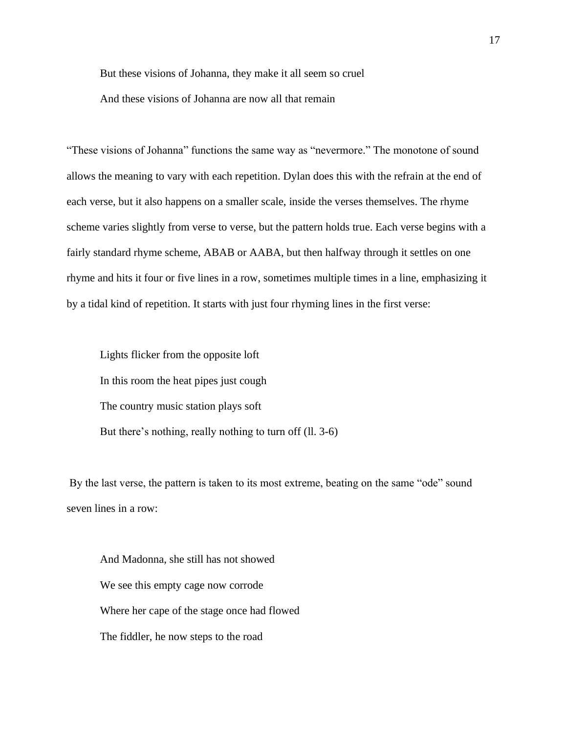But these visions of Johanna, they make it all seem so cruel And these visions of Johanna are now all that remain

"These visions of Johanna" functions the same way as "nevermore." The monotone of sound allows the meaning to vary with each repetition. Dylan does this with the refrain at the end of each verse, but it also happens on a smaller scale, inside the verses themselves. The rhyme scheme varies slightly from verse to verse, but the pattern holds true. Each verse begins with a fairly standard rhyme scheme, ABAB or AABA, but then halfway through it settles on one rhyme and hits it four or five lines in a row, sometimes multiple times in a line, emphasizing it by a tidal kind of repetition. It starts with just four rhyming lines in the first verse:

Lights flicker from the opposite loft In this room the heat pipes just cough The country music station plays soft But there's nothing, really nothing to turn off (ll. 3-6)

By the last verse, the pattern is taken to its most extreme, beating on the same "ode" sound seven lines in a row:

And Madonna, she still has not showed We see this empty cage now corrode Where her cape of the stage once had flowed The fiddler, he now steps to the road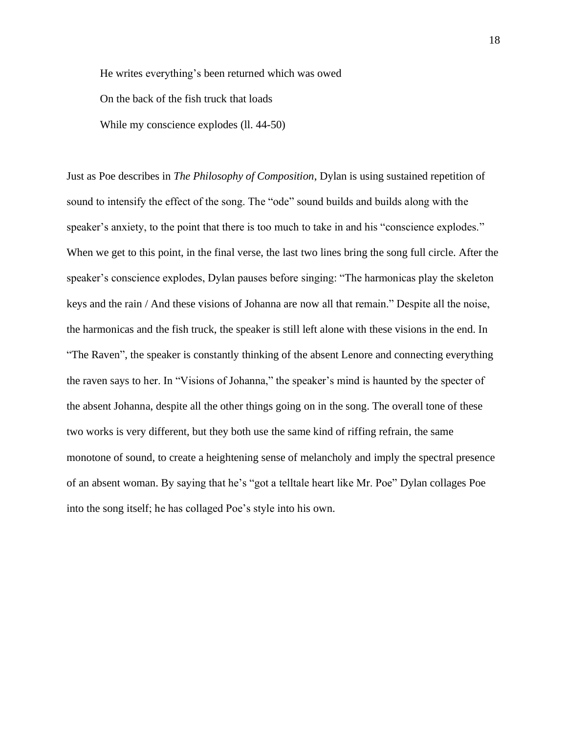He writes everything's been returned which was owed On the back of the fish truck that loads While my conscience explodes (ll. 44-50)

Just as Poe describes in *The Philosophy of Composition*, Dylan is using sustained repetition of sound to intensify the effect of the song. The "ode" sound builds and builds along with the speaker's anxiety, to the point that there is too much to take in and his "conscience explodes." When we get to this point, in the final verse, the last two lines bring the song full circle. After the speaker's conscience explodes, Dylan pauses before singing: "The harmonicas play the skeleton keys and the rain / And these visions of Johanna are now all that remain." Despite all the noise, the harmonicas and the fish truck, the speaker is still left alone with these visions in the end. In "The Raven", the speaker is constantly thinking of the absent Lenore and connecting everything the raven says to her. In "Visions of Johanna," the speaker's mind is haunted by the specter of the absent Johanna, despite all the other things going on in the song. The overall tone of these two works is very different, but they both use the same kind of riffing refrain, the same monotone of sound, to create a heightening sense of melancholy and imply the spectral presence of an absent woman. By saying that he's "got a telltale heart like Mr. Poe" Dylan collages Poe into the song itself; he has collaged Poe's style into his own.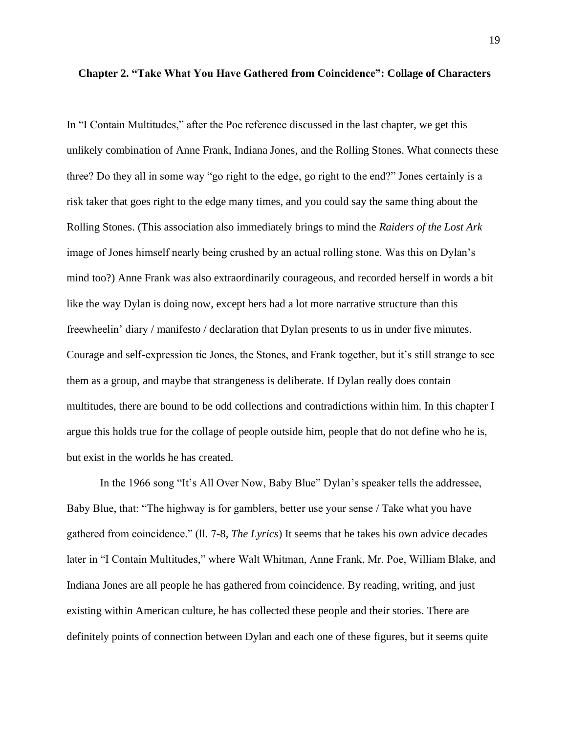#### **Chapter 2. "Take What You Have Gathered from Coincidence": Collage of Characters**

In "I Contain Multitudes," after the Poe reference discussed in the last chapter, we get this unlikely combination of Anne Frank, Indiana Jones, and the Rolling Stones. What connects these three? Do they all in some way "go right to the edge, go right to the end?" Jones certainly is a risk taker that goes right to the edge many times, and you could say the same thing about the Rolling Stones. (This association also immediately brings to mind the *Raiders of the Lost Ark* image of Jones himself nearly being crushed by an actual rolling stone. Was this on Dylan's mind too?) Anne Frank was also extraordinarily courageous, and recorded herself in words a bit like the way Dylan is doing now, except hers had a lot more narrative structure than this freewheelin' diary / manifesto / declaration that Dylan presents to us in under five minutes. Courage and self-expression tie Jones, the Stones, and Frank together, but it's still strange to see them as a group, and maybe that strangeness is deliberate. If Dylan really does contain multitudes, there are bound to be odd collections and contradictions within him. In this chapter I argue this holds true for the collage of people outside him, people that do not define who he is, but exist in the worlds he has created.

In the 1966 song "It's All Over Now, Baby Blue" Dylan's speaker tells the addressee, Baby Blue, that: "The highway is for gamblers, better use your sense / Take what you have gathered from coincidence." (ll. 7-8, *The Lyrics*) It seems that he takes his own advice decades later in "I Contain Multitudes," where Walt Whitman, Anne Frank, Mr. Poe, William Blake, and Indiana Jones are all people he has gathered from coincidence. By reading, writing, and just existing within American culture, he has collected these people and their stories. There are definitely points of connection between Dylan and each one of these figures, but it seems quite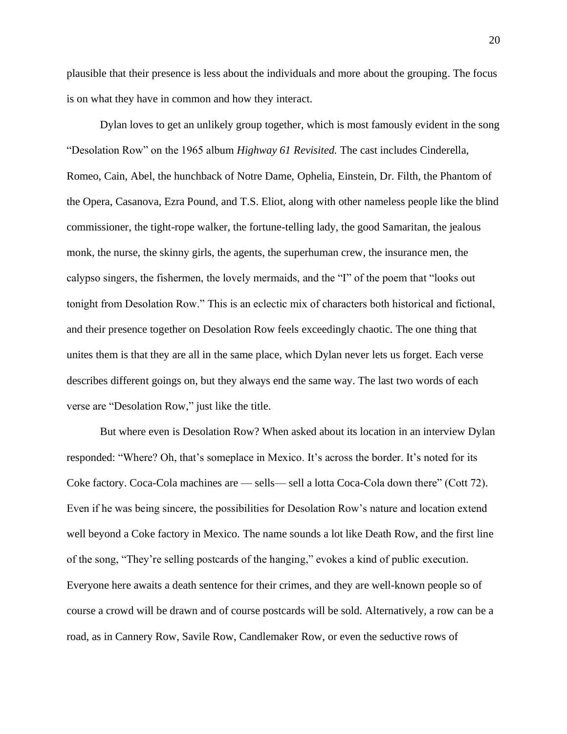plausible that their presence is less about the individuals and more about the grouping. The focus is on what they have in common and how they interact.

Dylan loves to get an unlikely group together, which is most famously evident in the song "Desolation Row" on the 1965 album *Highway 61 Revisited.* The cast includes Cinderella, Romeo, Cain, Abel, the hunchback of Notre Dame, Ophelia, Einstein, Dr. Filth, the Phantom of the Opera, Casanova, Ezra Pound, and T.S. Eliot, along with other nameless people like the blind commissioner, the tight-rope walker, the fortune-telling lady, the good Samaritan, the jealous monk, the nurse, the skinny girls, the agents, the superhuman crew, the insurance men, the calypso singers, the fishermen, the lovely mermaids, and the "I" of the poem that "looks out tonight from Desolation Row." This is an eclectic mix of characters both historical and fictional, and their presence together on Desolation Row feels exceedingly chaotic. The one thing that unites them is that they are all in the same place, which Dylan never lets us forget. Each verse describes different goings on, but they always end the same way. The last two words of each verse are "Desolation Row," just like the title.

But where even is Desolation Row? When asked about its location in an interview Dylan responded: "Where? Oh, that's someplace in Mexico. It's across the border. It's noted for its Coke factory. Coca-Cola machines are — sells— sell a lotta Coca-Cola down there" (Cott 72). Even if he was being sincere, the possibilities for Desolation Row's nature and location extend well beyond a Coke factory in Mexico. The name sounds a lot like Death Row, and the first line of the song, "They're selling postcards of the hanging," evokes a kind of public execution. Everyone here awaits a death sentence for their crimes, and they are well-known people so of course a crowd will be drawn and of course postcards will be sold. Alternatively, a row can be a road, as in Cannery Row, Savile Row, Candlemaker Row, or even the seductive rows of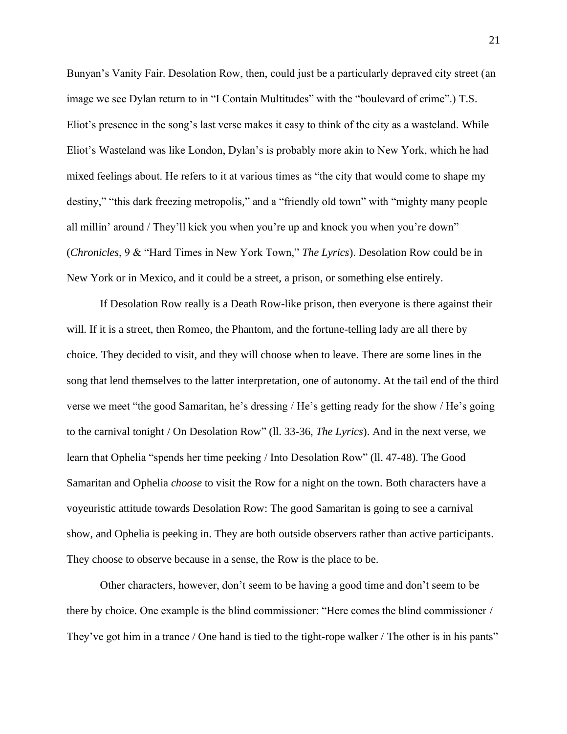Bunyan's Vanity Fair. Desolation Row, then, could just be a particularly depraved city street (an image we see Dylan return to in "I Contain Multitudes" with the "boulevard of crime".) T.S. Eliot's presence in the song's last verse makes it easy to think of the city as a wasteland. While Eliot's Wasteland was like London, Dylan's is probably more akin to New York, which he had mixed feelings about. He refers to it at various times as "the city that would come to shape my destiny," "this dark freezing metropolis," and a "friendly old town" with "mighty many people all millin' around / They'll kick you when you're up and knock you when you're down" (*Chronicles*, 9 & "Hard Times in New York Town," *The Lyrics*). Desolation Row could be in New York or in Mexico, and it could be a street, a prison, or something else entirely.

If Desolation Row really is a Death Row-like prison, then everyone is there against their will. If it is a street, then Romeo, the Phantom, and the fortune-telling lady are all there by choice. They decided to visit, and they will choose when to leave. There are some lines in the song that lend themselves to the latter interpretation, one of autonomy. At the tail end of the third verse we meet "the good Samaritan, he's dressing / He's getting ready for the show / He's going to the carnival tonight / On Desolation Row" (ll. 33-36, *The Lyrics*). And in the next verse, we learn that Ophelia "spends her time peeking / Into Desolation Row" (ll. 47-48). The Good Samaritan and Ophelia *choose* to visit the Row for a night on the town. Both characters have a voyeuristic attitude towards Desolation Row: The good Samaritan is going to see a carnival show, and Ophelia is peeking in. They are both outside observers rather than active participants. They choose to observe because in a sense, the Row is the place to be.

Other characters, however, don't seem to be having a good time and don't seem to be there by choice. One example is the blind commissioner: "Here comes the blind commissioner / They've got him in a trance / One hand is tied to the tight-rope walker / The other is in his pants"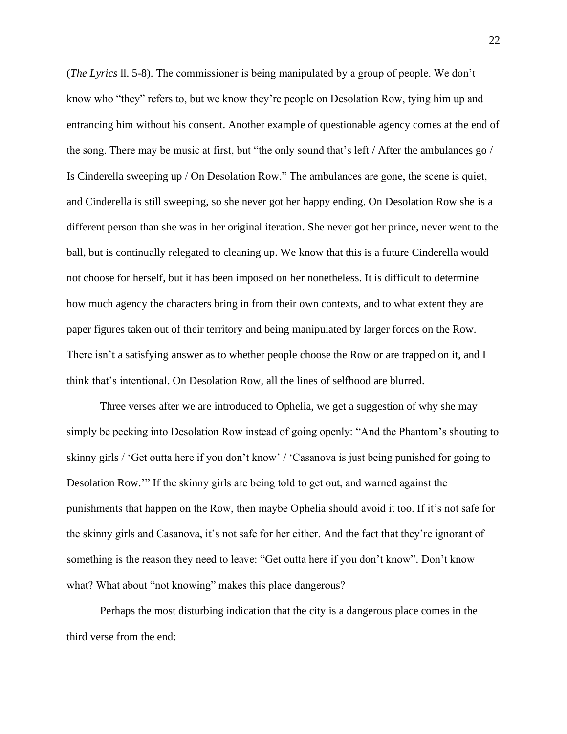(*The Lyrics* ll. 5-8). The commissioner is being manipulated by a group of people. We don't know who "they" refers to, but we know they're people on Desolation Row, tying him up and entrancing him without his consent. Another example of questionable agency comes at the end of the song. There may be music at first, but "the only sound that's left / After the ambulances go / Is Cinderella sweeping up / On Desolation Row." The ambulances are gone, the scene is quiet, and Cinderella is still sweeping, so she never got her happy ending. On Desolation Row she is a different person than she was in her original iteration. She never got her prince, never went to the ball, but is continually relegated to cleaning up. We know that this is a future Cinderella would not choose for herself, but it has been imposed on her nonetheless. It is difficult to determine how much agency the characters bring in from their own contexts, and to what extent they are paper figures taken out of their territory and being manipulated by larger forces on the Row. There isn't a satisfying answer as to whether people choose the Row or are trapped on it, and I think that's intentional. On Desolation Row, all the lines of selfhood are blurred.

Three verses after we are introduced to Ophelia, we get a suggestion of why she may simply be peeking into Desolation Row instead of going openly: "And the Phantom's shouting to skinny girls / 'Get outta here if you don't know' / 'Casanova is just being punished for going to Desolation Row.'" If the skinny girls are being told to get out, and warned against the punishments that happen on the Row, then maybe Ophelia should avoid it too. If it's not safe for the skinny girls and Casanova, it's not safe for her either. And the fact that they're ignorant of something is the reason they need to leave: "Get outta here if you don't know". Don't know what? What about "not knowing" makes this place dangerous?

Perhaps the most disturbing indication that the city is a dangerous place comes in the third verse from the end: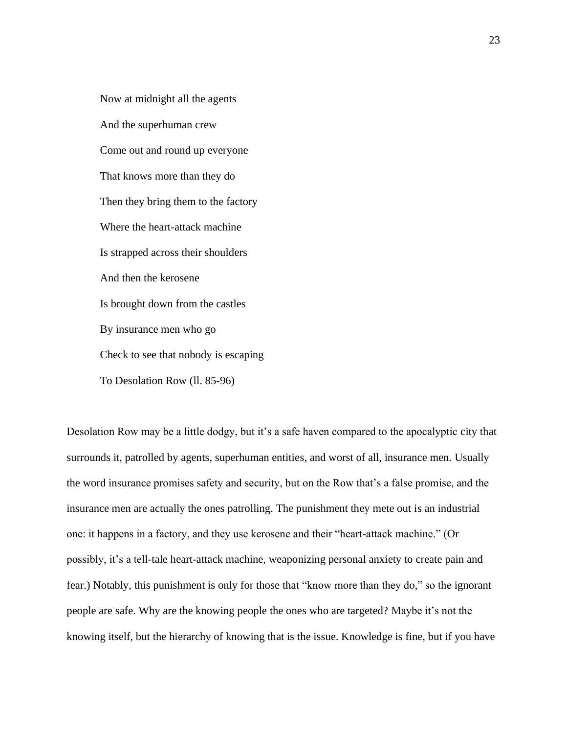Now at midnight all the agents And the superhuman crew Come out and round up everyone That knows more than they do Then they bring them to the factory Where the heart-attack machine Is strapped across their shoulders And then the kerosene Is brought down from the castles By insurance men who go Check to see that nobody is escaping To Desolation Row (ll. 85-96)

Desolation Row may be a little dodgy, but it's a safe haven compared to the apocalyptic city that surrounds it, patrolled by agents, superhuman entities, and worst of all, insurance men. Usually the word insurance promises safety and security, but on the Row that's a false promise, and the insurance men are actually the ones patrolling. The punishment they mete out is an industrial one: it happens in a factory, and they use kerosene and their "heart-attack machine." (Or possibly, it's a tell-tale heart-attack machine, weaponizing personal anxiety to create pain and fear.) Notably, this punishment is only for those that "know more than they do," so the ignorant people are safe. Why are the knowing people the ones who are targeted? Maybe it's not the knowing itself, but the hierarchy of knowing that is the issue. Knowledge is fine, but if you have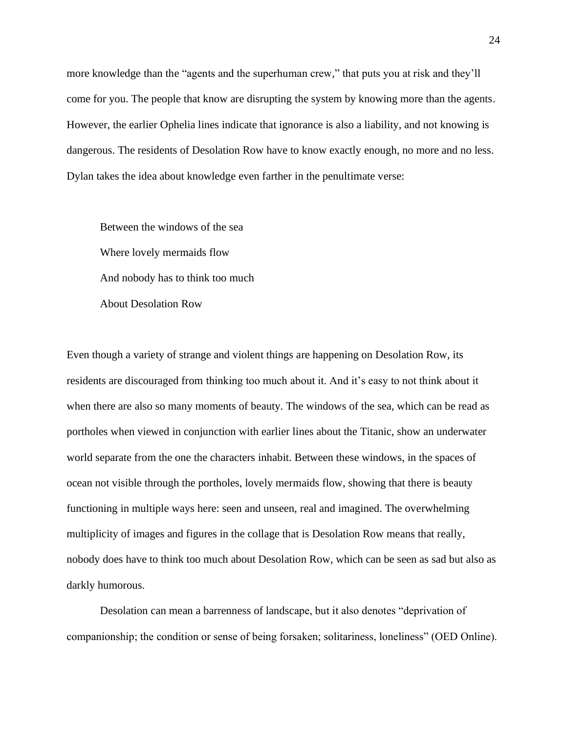more knowledge than the "agents and the superhuman crew," that puts you at risk and they'll come for you. The people that know are disrupting the system by knowing more than the agents. However, the earlier Ophelia lines indicate that ignorance is also a liability, and not knowing is dangerous. The residents of Desolation Row have to know exactly enough, no more and no less. Dylan takes the idea about knowledge even farther in the penultimate verse:

Between the windows of the sea Where lovely mermaids flow And nobody has to think too much About Desolation Row

Even though a variety of strange and violent things are happening on Desolation Row, its residents are discouraged from thinking too much about it. And it's easy to not think about it when there are also so many moments of beauty. The windows of the sea, which can be read as portholes when viewed in conjunction with earlier lines about the Titanic, show an underwater world separate from the one the characters inhabit. Between these windows, in the spaces of ocean not visible through the portholes, lovely mermaids flow, showing that there is beauty functioning in multiple ways here: seen and unseen, real and imagined. The overwhelming multiplicity of images and figures in the collage that is Desolation Row means that really, nobody does have to think too much about Desolation Row, which can be seen as sad but also as darkly humorous.

Desolation can mean a barrenness of landscape, but it also denotes "deprivation of companionship; the condition or sense of being forsaken; solitariness, loneliness" (OED Online).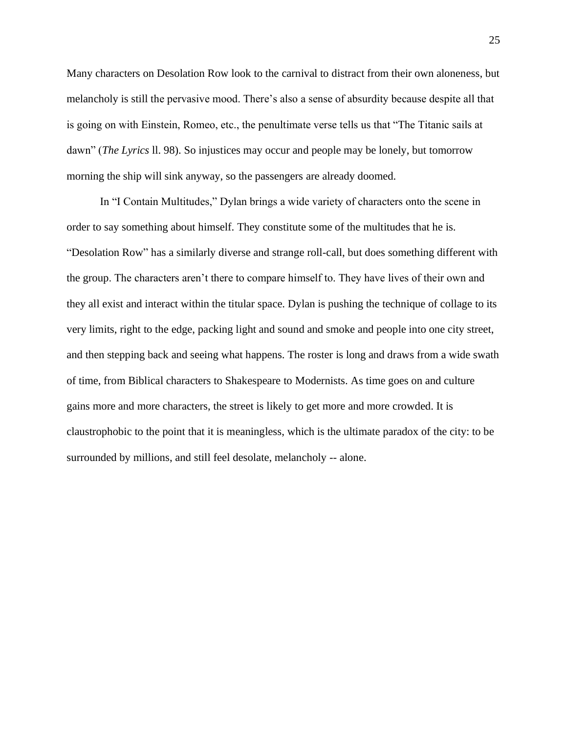Many characters on Desolation Row look to the carnival to distract from their own aloneness, but melancholy is still the pervasive mood. There's also a sense of absurdity because despite all that is going on with Einstein, Romeo, etc., the penultimate verse tells us that "The Titanic sails at dawn" (*The Lyrics* ll. 98). So injustices may occur and people may be lonely, but tomorrow morning the ship will sink anyway, so the passengers are already doomed.

In "I Contain Multitudes," Dylan brings a wide variety of characters onto the scene in order to say something about himself. They constitute some of the multitudes that he is. "Desolation Row" has a similarly diverse and strange roll-call, but does something different with the group. The characters aren't there to compare himself to. They have lives of their own and they all exist and interact within the titular space. Dylan is pushing the technique of collage to its very limits, right to the edge, packing light and sound and smoke and people into one city street, and then stepping back and seeing what happens. The roster is long and draws from a wide swath of time, from Biblical characters to Shakespeare to Modernists. As time goes on and culture gains more and more characters, the street is likely to get more and more crowded. It is claustrophobic to the point that it is meaningless, which is the ultimate paradox of the city: to be surrounded by millions, and still feel desolate, melancholy -- alone.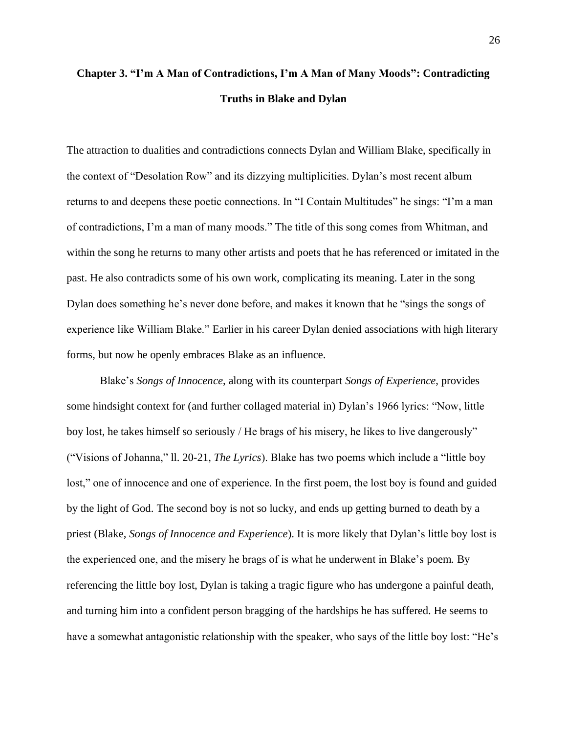# **Chapter 3. "I'm A Man of Contradictions, I'm A Man of Many Moods": Contradicting Truths in Blake and Dylan**

The attraction to dualities and contradictions connects Dylan and William Blake, specifically in the context of "Desolation Row" and its dizzying multiplicities. Dylan's most recent album returns to and deepens these poetic connections. In "I Contain Multitudes" he sings: "I'm a man of contradictions, I'm a man of many moods." The title of this song comes from Whitman, and within the song he returns to many other artists and poets that he has referenced or imitated in the past. He also contradicts some of his own work, complicating its meaning. Later in the song Dylan does something he's never done before, and makes it known that he "sings the songs of experience like William Blake." Earlier in his career Dylan denied associations with high literary forms, but now he openly embraces Blake as an influence.

Blake's *Songs of Innocence*, along with its counterpart *Songs of Experience*, provides some hindsight context for (and further collaged material in) Dylan's 1966 lyrics: "Now, little boy lost, he takes himself so seriously / He brags of his misery, he likes to live dangerously" ("Visions of Johanna," ll. 20-21, *The Lyrics*). Blake has two poems which include a "little boy lost," one of innocence and one of experience. In the first poem, the lost boy is found and guided by the light of God. The second boy is not so lucky, and ends up getting burned to death by a priest (Blake, *Songs of Innocence and Experience*). It is more likely that Dylan's little boy lost is the experienced one, and the misery he brags of is what he underwent in Blake's poem*.* By referencing the little boy lost, Dylan is taking a tragic figure who has undergone a painful death, and turning him into a confident person bragging of the hardships he has suffered. He seems to have a somewhat antagonistic relationship with the speaker, who says of the little boy lost: "He's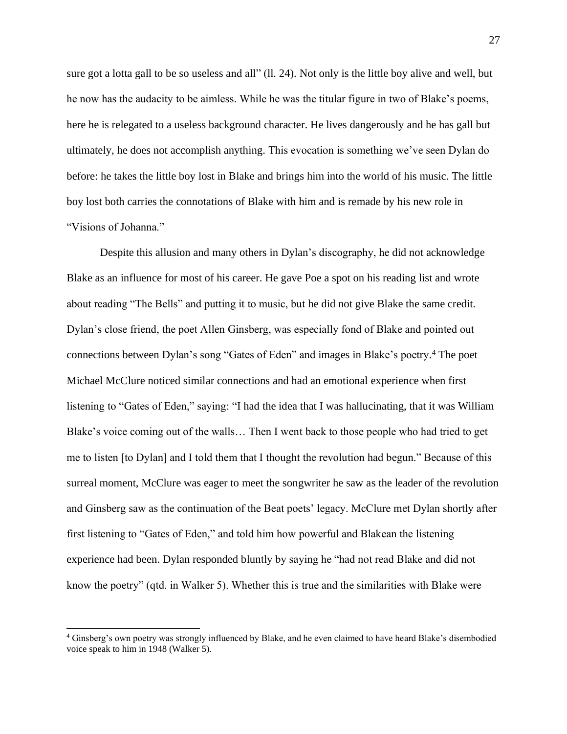sure got a lotta gall to be so useless and all" (ll. 24). Not only is the little boy alive and well, but he now has the audacity to be aimless. While he was the titular figure in two of Blake's poems, here he is relegated to a useless background character. He lives dangerously and he has gall but ultimately, he does not accomplish anything. This evocation is something we've seen Dylan do before: he takes the little boy lost in Blake and brings him into the world of his music. The little boy lost both carries the connotations of Blake with him and is remade by his new role in "Visions of Johanna."

Despite this allusion and many others in Dylan's discography, he did not acknowledge Blake as an influence for most of his career. He gave Poe a spot on his reading list and wrote about reading "The Bells" and putting it to music, but he did not give Blake the same credit. Dylan's close friend, the poet Allen Ginsberg, was especially fond of Blake and pointed out connections between Dylan's song "Gates of Eden" and images in Blake's poetry. <sup>4</sup> The poet Michael McClure noticed similar connections and had an emotional experience when first listening to "Gates of Eden," saying: "I had the idea that I was hallucinating, that it was William Blake's voice coming out of the walls… Then I went back to those people who had tried to get me to listen [to Dylan] and I told them that I thought the revolution had begun." Because of this surreal moment, McClure was eager to meet the songwriter he saw as the leader of the revolution and Ginsberg saw as the continuation of the Beat poets' legacy. McClure met Dylan shortly after first listening to "Gates of Eden," and told him how powerful and Blakean the listening experience had been. Dylan responded bluntly by saying he "had not read Blake and did not know the poetry" (qtd. in Walker 5). Whether this is true and the similarities with Blake were

<sup>4</sup> Ginsberg's own poetry was strongly influenced by Blake, and he even claimed to have heard Blake's disembodied voice speak to him in 1948 (Walker 5).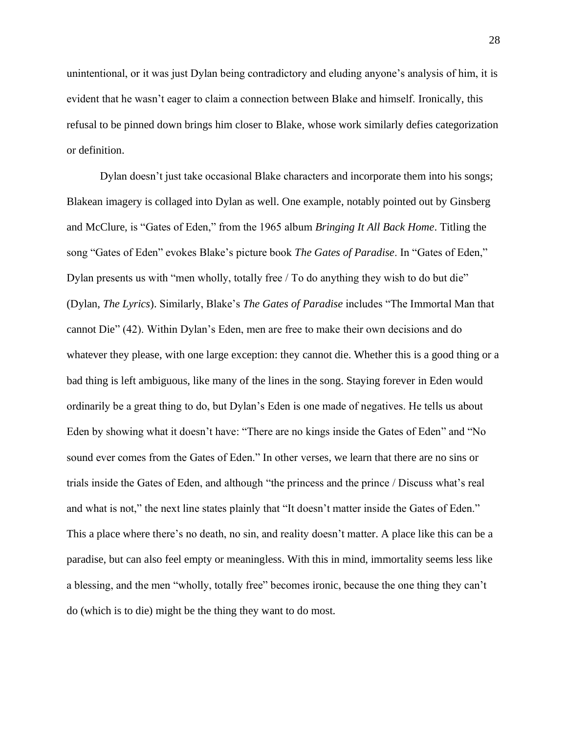unintentional, or it was just Dylan being contradictory and eluding anyone's analysis of him, it is evident that he wasn't eager to claim a connection between Blake and himself. Ironically, this refusal to be pinned down brings him closer to Blake, whose work similarly defies categorization or definition.

Dylan doesn't just take occasional Blake characters and incorporate them into his songs; Blakean imagery is collaged into Dylan as well. One example, notably pointed out by Ginsberg and McClure, is "Gates of Eden," from the 1965 album *Bringing It All Back Home*. Titling the song "Gates of Eden" evokes Blake's picture book *The Gates of Paradise*. In "Gates of Eden," Dylan presents us with "men wholly, totally free / To do anything they wish to do but die" (Dylan, *The Lyrics*). Similarly, Blake's *The Gates of Paradise* includes "The Immortal Man that cannot Die" (42). Within Dylan's Eden, men are free to make their own decisions and do whatever they please, with one large exception: they cannot die. Whether this is a good thing or a bad thing is left ambiguous, like many of the lines in the song. Staying forever in Eden would ordinarily be a great thing to do, but Dylan's Eden is one made of negatives. He tells us about Eden by showing what it doesn't have: "There are no kings inside the Gates of Eden" and "No sound ever comes from the Gates of Eden." In other verses, we learn that there are no sins or trials inside the Gates of Eden, and although "the princess and the prince / Discuss what's real and what is not," the next line states plainly that "It doesn't matter inside the Gates of Eden." This a place where there's no death, no sin, and reality doesn't matter. A place like this can be a paradise, but can also feel empty or meaningless. With this in mind, immortality seems less like a blessing, and the men "wholly, totally free" becomes ironic, because the one thing they can't do (which is to die) might be the thing they want to do most.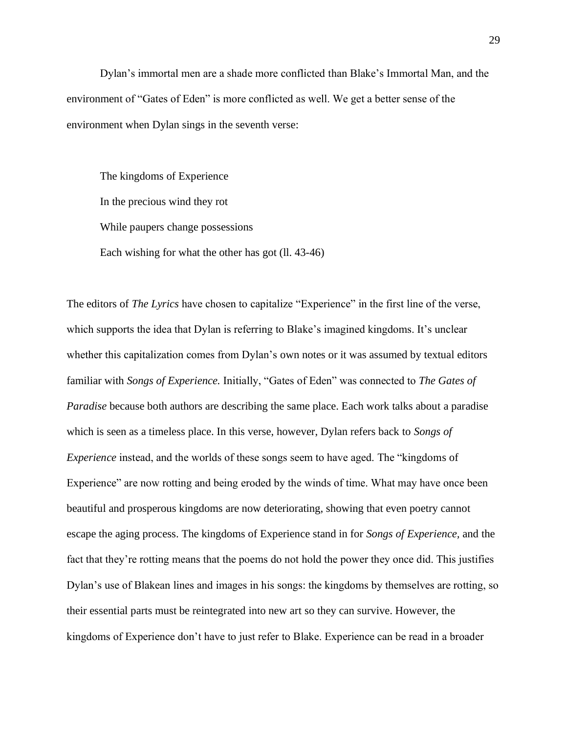Dylan's immortal men are a shade more conflicted than Blake's Immortal Man, and the environment of "Gates of Eden" is more conflicted as well. We get a better sense of the environment when Dylan sings in the seventh verse:

The kingdoms of Experience In the precious wind they rot While paupers change possessions Each wishing for what the other has got (ll. 43-46)

The editors of *The Lyrics* have chosen to capitalize "Experience" in the first line of the verse, which supports the idea that Dylan is referring to Blake's imagined kingdoms. It's unclear whether this capitalization comes from Dylan's own notes or it was assumed by textual editors familiar with *Songs of Experience.* Initially, "Gates of Eden" was connected to *The Gates of Paradise* because both authors are describing the same place. Each work talks about a paradise which is seen as a timeless place. In this verse, however, Dylan refers back to *Songs of Experience* instead, and the worlds of these songs seem to have aged. The "kingdoms of Experience" are now rotting and being eroded by the winds of time. What may have once been beautiful and prosperous kingdoms are now deteriorating, showing that even poetry cannot escape the aging process. The kingdoms of Experience stand in for *Songs of Experience,* and the fact that they're rotting means that the poems do not hold the power they once did. This justifies Dylan's use of Blakean lines and images in his songs: the kingdoms by themselves are rotting, so their essential parts must be reintegrated into new art so they can survive. However, the kingdoms of Experience don't have to just refer to Blake. Experience can be read in a broader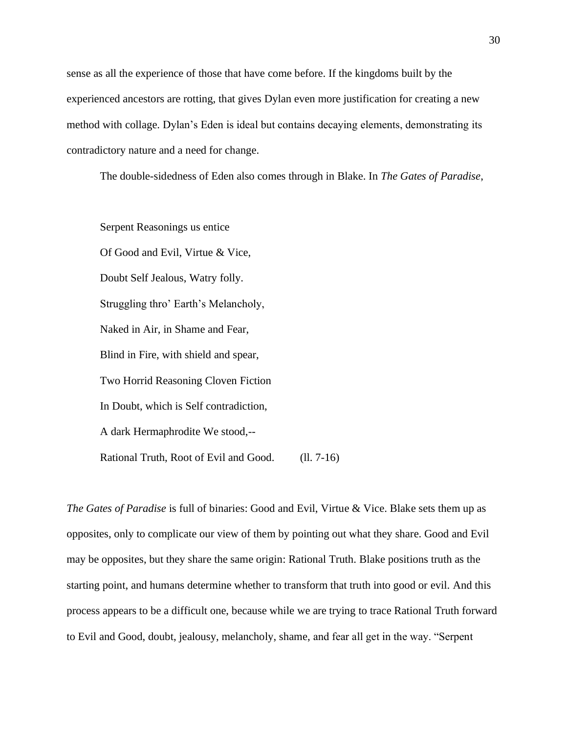sense as all the experience of those that have come before. If the kingdoms built by the experienced ancestors are rotting, that gives Dylan even more justification for creating a new method with collage. Dylan's Eden is ideal but contains decaying elements, demonstrating its contradictory nature and a need for change.

The double-sidedness of Eden also comes through in Blake. In *The Gates of Paradise*,

Serpent Reasonings us entice Of Good and Evil, Virtue & Vice, Doubt Self Jealous, Watry folly. Struggling thro' Earth's Melancholy, Naked in Air, in Shame and Fear, Blind in Fire, with shield and spear, Two Horrid Reasoning Cloven Fiction In Doubt, which is Self contradiction, A dark Hermaphrodite We stood,-- Rational Truth, Root of Evil and Good. (Il. 7-16)

*The Gates of Paradise* is full of binaries: Good and Evil, Virtue & Vice. Blake sets them up as opposites, only to complicate our view of them by pointing out what they share. Good and Evil may be opposites, but they share the same origin: Rational Truth. Blake positions truth as the starting point, and humans determine whether to transform that truth into good or evil. And this process appears to be a difficult one, because while we are trying to trace Rational Truth forward to Evil and Good, doubt, jealousy, melancholy, shame, and fear all get in the way. "Serpent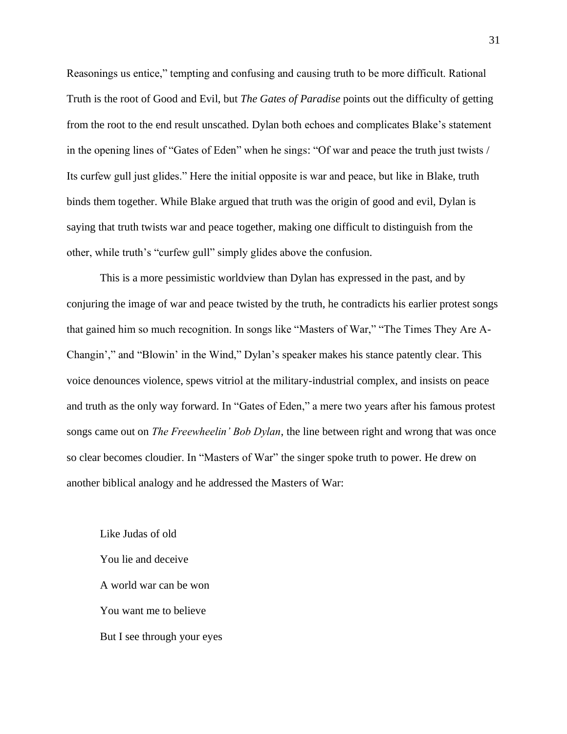Reasonings us entice," tempting and confusing and causing truth to be more difficult. Rational Truth is the root of Good and Evil, but *The Gates of Paradise* points out the difficulty of getting from the root to the end result unscathed. Dylan both echoes and complicates Blake's statement in the opening lines of "Gates of Eden" when he sings: "Of war and peace the truth just twists / Its curfew gull just glides." Here the initial opposite is war and peace, but like in Blake, truth binds them together. While Blake argued that truth was the origin of good and evil, Dylan is saying that truth twists war and peace together, making one difficult to distinguish from the other, while truth's "curfew gull" simply glides above the confusion.

This is a more pessimistic worldview than Dylan has expressed in the past, and by conjuring the image of war and peace twisted by the truth, he contradicts his earlier protest songs that gained him so much recognition. In songs like "Masters of War," "The Times They Are A-Changin'," and "Blowin' in the Wind," Dylan's speaker makes his stance patently clear. This voice denounces violence, spews vitriol at the military-industrial complex, and insists on peace and truth as the only way forward. In "Gates of Eden," a mere two years after his famous protest songs came out on *The Freewheelin' Bob Dylan*, the line between right and wrong that was once so clear becomes cloudier. In "Masters of War" the singer spoke truth to power. He drew on another biblical analogy and he addressed the Masters of War:

Like Judas of old You lie and deceive A world war can be won You want me to believe But I see through your eyes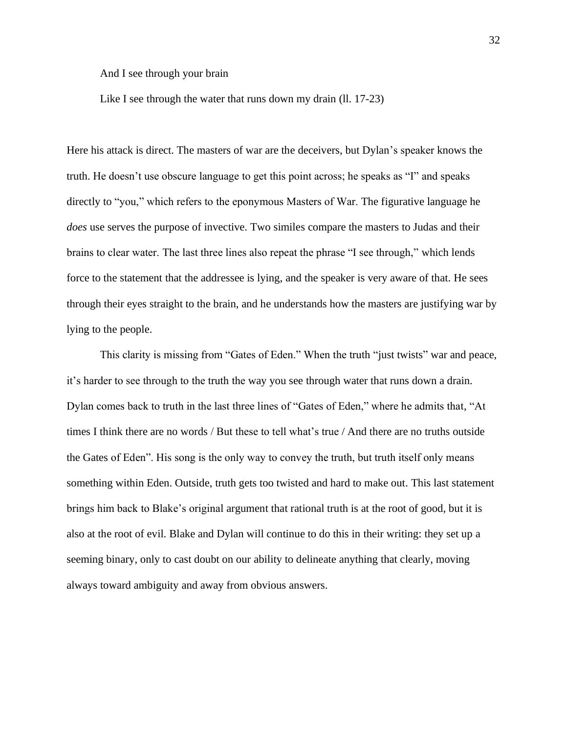And I see through your brain

Like I see through the water that runs down my drain (ll. 17-23)

Here his attack is direct. The masters of war are the deceivers, but Dylan's speaker knows the truth. He doesn't use obscure language to get this point across; he speaks as "I" and speaks directly to "you," which refers to the eponymous Masters of War. The figurative language he *does* use serves the purpose of invective. Two similes compare the masters to Judas and their brains to clear water. The last three lines also repeat the phrase "I see through," which lends force to the statement that the addressee is lying, and the speaker is very aware of that. He sees through their eyes straight to the brain, and he understands how the masters are justifying war by lying to the people.

This clarity is missing from "Gates of Eden." When the truth "just twists" war and peace, it's harder to see through to the truth the way you see through water that runs down a drain. Dylan comes back to truth in the last three lines of "Gates of Eden," where he admits that, "At times I think there are no words / But these to tell what's true / And there are no truths outside the Gates of Eden". His song is the only way to convey the truth, but truth itself only means something within Eden. Outside, truth gets too twisted and hard to make out. This last statement brings him back to Blake's original argument that rational truth is at the root of good, but it is also at the root of evil. Blake and Dylan will continue to do this in their writing: they set up a seeming binary, only to cast doubt on our ability to delineate anything that clearly, moving always toward ambiguity and away from obvious answers.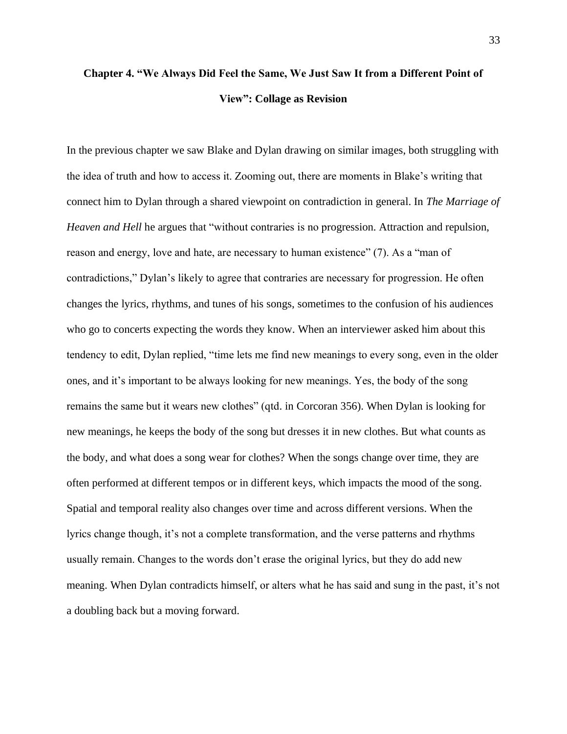# **Chapter 4. "We Always Did Feel the Same, We Just Saw It from a Different Point of View": Collage as Revision**

In the previous chapter we saw Blake and Dylan drawing on similar images, both struggling with the idea of truth and how to access it. Zooming out, there are moments in Blake's writing that connect him to Dylan through a shared viewpoint on contradiction in general. In *The Marriage of Heaven and Hell* he argues that "without contraries is no progression. Attraction and repulsion, reason and energy, love and hate, are necessary to human existence" (7). As a "man of contradictions," Dylan's likely to agree that contraries are necessary for progression. He often changes the lyrics, rhythms, and tunes of his songs, sometimes to the confusion of his audiences who go to concerts expecting the words they know. When an interviewer asked him about this tendency to edit, Dylan replied, "time lets me find new meanings to every song, even in the older ones, and it's important to be always looking for new meanings. Yes, the body of the song remains the same but it wears new clothes" (qtd. in Corcoran 356). When Dylan is looking for new meanings, he keeps the body of the song but dresses it in new clothes. But what counts as the body, and what does a song wear for clothes? When the songs change over time, they are often performed at different tempos or in different keys, which impacts the mood of the song. Spatial and temporal reality also changes over time and across different versions. When the lyrics change though, it's not a complete transformation, and the verse patterns and rhythms usually remain. Changes to the words don't erase the original lyrics, but they do add new meaning. When Dylan contradicts himself, or alters what he has said and sung in the past, it's not a doubling back but a moving forward.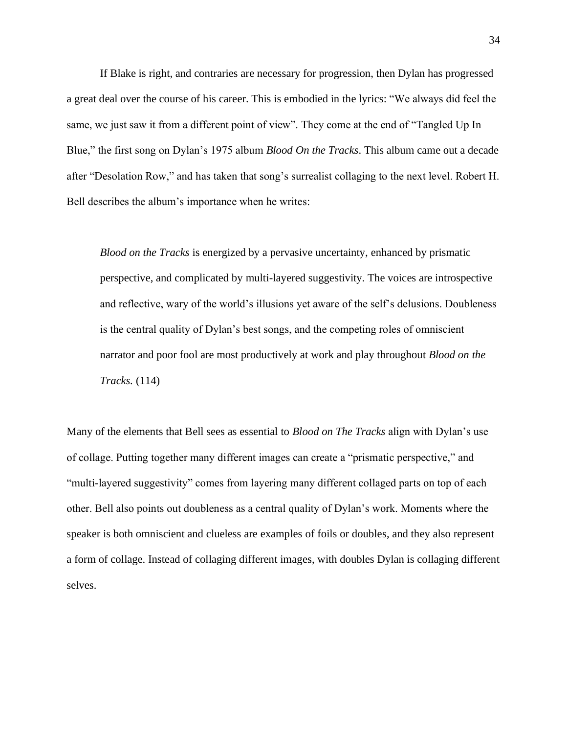If Blake is right, and contraries are necessary for progression, then Dylan has progressed a great deal over the course of his career. This is embodied in the lyrics: "We always did feel the same, we just saw it from a different point of view". They come at the end of "Tangled Up In Blue," the first song on Dylan's 1975 album *Blood On the Tracks*. This album came out a decade after "Desolation Row," and has taken that song's surrealist collaging to the next level. Robert H. Bell describes the album's importance when he writes:

*Blood on the Tracks* is energized by a pervasive uncertainty, enhanced by prismatic perspective, and complicated by multi-layered suggestivity. The voices are introspective and reflective, wary of the world's illusions yet aware of the self's delusions. Doubleness is the central quality of Dylan's best songs, and the competing roles of omniscient narrator and poor fool are most productively at work and play throughout *Blood on the Tracks.* (114)

Many of the elements that Bell sees as essential to *Blood on The Tracks* align with Dylan's use of collage. Putting together many different images can create a "prismatic perspective," and "multi-layered suggestivity" comes from layering many different collaged parts on top of each other. Bell also points out doubleness as a central quality of Dylan's work. Moments where the speaker is both omniscient and clueless are examples of foils or doubles, and they also represent a form of collage. Instead of collaging different images, with doubles Dylan is collaging different selves.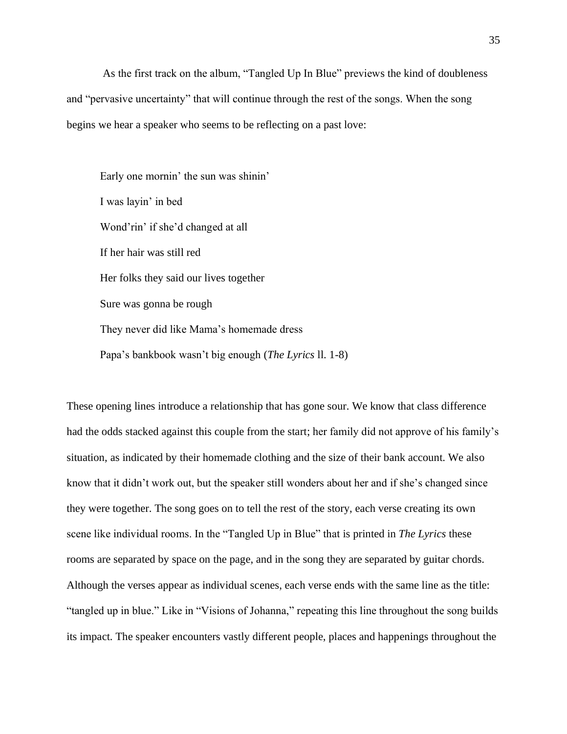As the first track on the album, "Tangled Up In Blue" previews the kind of doubleness and "pervasive uncertainty" that will continue through the rest of the songs. When the song begins we hear a speaker who seems to be reflecting on a past love:

Early one mornin' the sun was shinin' I was layin' in bed Wond'rin' if she'd changed at all If her hair was still red Her folks they said our lives together Sure was gonna be rough They never did like Mama's homemade dress Papa's bankbook wasn't big enough (*The Lyrics* ll. 1-8)

These opening lines introduce a relationship that has gone sour. We know that class difference had the odds stacked against this couple from the start; her family did not approve of his family's situation, as indicated by their homemade clothing and the size of their bank account. We also know that it didn't work out, but the speaker still wonders about her and if she's changed since they were together. The song goes on to tell the rest of the story, each verse creating its own scene like individual rooms. In the "Tangled Up in Blue" that is printed in *The Lyrics* these rooms are separated by space on the page, and in the song they are separated by guitar chords. Although the verses appear as individual scenes, each verse ends with the same line as the title: "tangled up in blue." Like in "Visions of Johanna," repeating this line throughout the song builds its impact. The speaker encounters vastly different people, places and happenings throughout the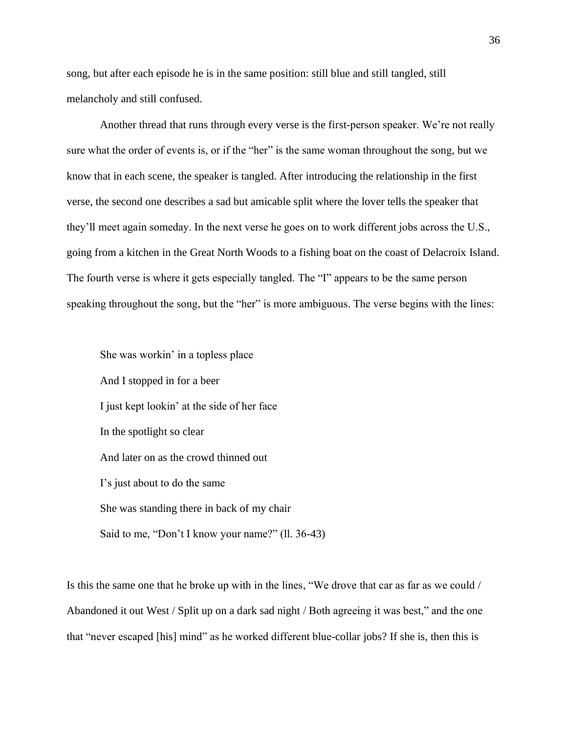song, but after each episode he is in the same position: still blue and still tangled, still melancholy and still confused.

Another thread that runs through every verse is the first-person speaker. We're not really sure what the order of events is, or if the "her" is the same woman throughout the song, but we know that in each scene, the speaker is tangled. After introducing the relationship in the first verse, the second one describes a sad but amicable split where the lover tells the speaker that they'll meet again someday. In the next verse he goes on to work different jobs across the U.S., going from a kitchen in the Great North Woods to a fishing boat on the coast of Delacroix Island. The fourth verse is where it gets especially tangled. The "I" appears to be the same person speaking throughout the song, but the "her" is more ambiguous. The verse begins with the lines:

She was workin' in a topless place And I stopped in for a beer I just kept lookin' at the side of her face In the spotlight so clear And later on as the crowd thinned out I's just about to do the same She was standing there in back of my chair Said to me, "Don't I know your name?" (ll. 36-43)

Is this the same one that he broke up with in the lines, "We drove that car as far as we could / Abandoned it out West / Split up on a dark sad night / Both agreeing it was best," and the one that "never escaped [his] mind" as he worked different blue-collar jobs? If she is, then this is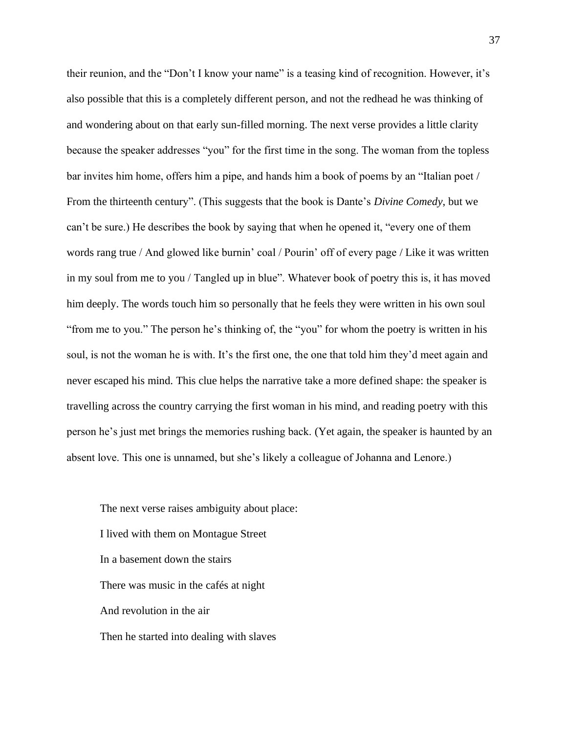their reunion, and the "Don't I know your name" is a teasing kind of recognition. However, it's also possible that this is a completely different person, and not the redhead he was thinking of and wondering about on that early sun-filled morning. The next verse provides a little clarity because the speaker addresses "you" for the first time in the song. The woman from the topless bar invites him home, offers him a pipe, and hands him a book of poems by an "Italian poet / From the thirteenth century". (This suggests that the book is Dante's *Divine Comedy*, but we can't be sure.) He describes the book by saying that when he opened it, "every one of them words rang true / And glowed like burnin' coal / Pourin' off of every page / Like it was written in my soul from me to you / Tangled up in blue". Whatever book of poetry this is, it has moved him deeply. The words touch him so personally that he feels they were written in his own soul "from me to you." The person he's thinking of, the "you" for whom the poetry is written in his soul, is not the woman he is with. It's the first one, the one that told him they'd meet again and never escaped his mind. This clue helps the narrative take a more defined shape: the speaker is travelling across the country carrying the first woman in his mind, and reading poetry with this person he's just met brings the memories rushing back. (Yet again, the speaker is haunted by an absent love. This one is unnamed, but she's likely a colleague of Johanna and Lenore.)

The next verse raises ambiguity about place: I lived with them on Montague Street In a basement down the stairs There was music in the cafés at night And revolution in the air Then he started into dealing with slaves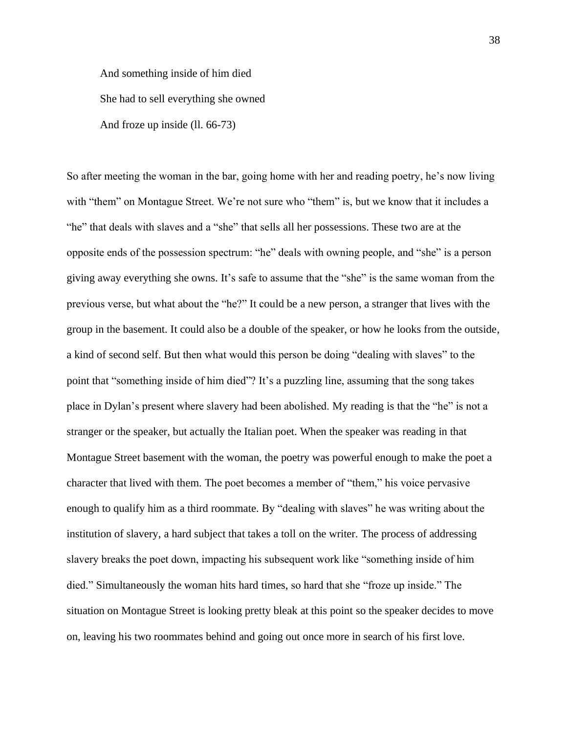And something inside of him died She had to sell everything she owned And froze up inside (ll. 66-73)

So after meeting the woman in the bar, going home with her and reading poetry, he's now living with "them" on Montague Street. We're not sure who "them" is, but we know that it includes a "he" that deals with slaves and a "she" that sells all her possessions. These two are at the opposite ends of the possession spectrum: "he" deals with owning people, and "she" is a person giving away everything she owns. It's safe to assume that the "she" is the same woman from the previous verse, but what about the "he?" It could be a new person, a stranger that lives with the group in the basement. It could also be a double of the speaker, or how he looks from the outside, a kind of second self. But then what would this person be doing "dealing with slaves" to the point that "something inside of him died"? It's a puzzling line, assuming that the song takes place in Dylan's present where slavery had been abolished. My reading is that the "he" is not a stranger or the speaker, but actually the Italian poet. When the speaker was reading in that Montague Street basement with the woman, the poetry was powerful enough to make the poet a character that lived with them. The poet becomes a member of "them," his voice pervasive enough to qualify him as a third roommate. By "dealing with slaves" he was writing about the institution of slavery, a hard subject that takes a toll on the writer. The process of addressing slavery breaks the poet down, impacting his subsequent work like "something inside of him died." Simultaneously the woman hits hard times, so hard that she "froze up inside." The situation on Montague Street is looking pretty bleak at this point so the speaker decides to move on, leaving his two roommates behind and going out once more in search of his first love.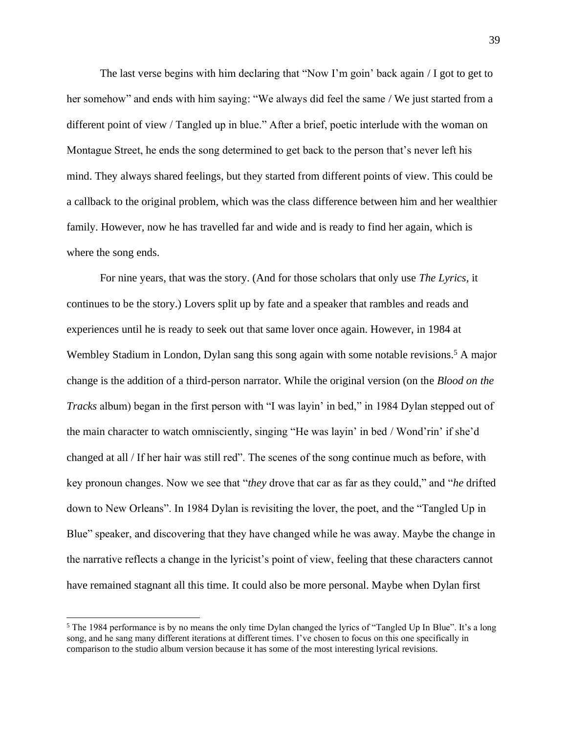The last verse begins with him declaring that "Now I'm goin' back again / I got to get to her somehow" and ends with him saying: "We always did feel the same / We just started from a different point of view / Tangled up in blue." After a brief, poetic interlude with the woman on Montague Street, he ends the song determined to get back to the person that's never left his mind. They always shared feelings, but they started from different points of view. This could be a callback to the original problem, which was the class difference between him and her wealthier family. However, now he has travelled far and wide and is ready to find her again, which is where the song ends.

 For nine years, that was the story. (And for those scholars that only use *The Lyrics,* it continues to be the story.) Lovers split up by fate and a speaker that rambles and reads and experiences until he is ready to seek out that same lover once again. However, in 1984 at Wembley Stadium in London, Dylan sang this song again with some notable revisions.<sup>5</sup> A major change is the addition of a third-person narrator. While the original version (on the *Blood on the Tracks* album) began in the first person with "I was layin' in bed," in 1984 Dylan stepped out of the main character to watch omnisciently, singing "He was layin' in bed / Wond'rin' if she'd changed at all / If her hair was still red". The scenes of the song continue much as before, with key pronoun changes. Now we see that "*they* drove that car as far as they could," and "*he* drifted down to New Orleans". In 1984 Dylan is revisiting the lover, the poet, and the "Tangled Up in Blue" speaker, and discovering that they have changed while he was away. Maybe the change in the narrative reflects a change in the lyricist's point of view, feeling that these characters cannot have remained stagnant all this time. It could also be more personal. Maybe when Dylan first

<sup>&</sup>lt;sup>5</sup> The 1984 performance is by no means the only time Dylan changed the lyrics of "Tangled Up In Blue". It's a long song, and he sang many different iterations at different times. I've chosen to focus on this one specifically in comparison to the studio album version because it has some of the most interesting lyrical revisions.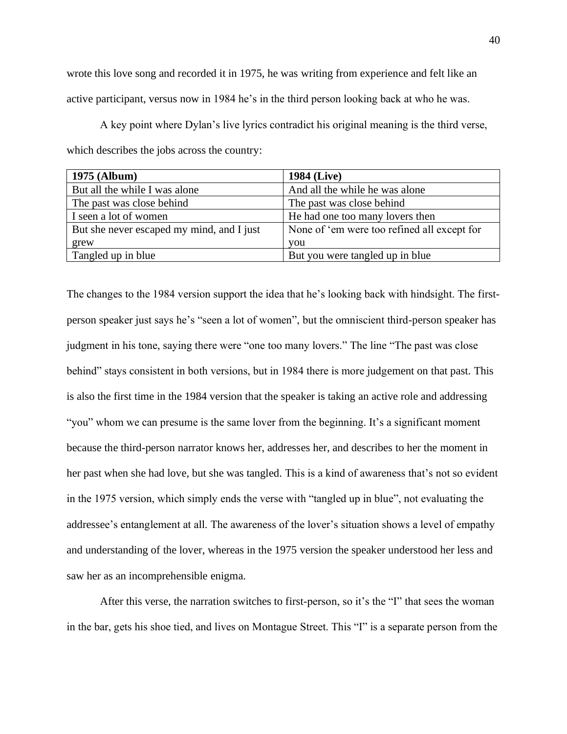wrote this love song and recorded it in 1975, he was writing from experience and felt like an active participant, versus now in 1984 he's in the third person looking back at who he was.

A key point where Dylan's live lyrics contradict his original meaning is the third verse, which describes the jobs across the country:

| 1975 (Album)                              | <b>1984 (Live)</b>                          |
|-------------------------------------------|---------------------------------------------|
| But all the while I was alone             | And all the while he was alone              |
| The past was close behind                 | The past was close behind                   |
| I seen a lot of women                     | He had one too many lovers then             |
| But she never escaped my mind, and I just | None of 'em were too refined all except for |
| grew                                      | you                                         |
| Tangled up in blue                        | But you were tangled up in blue             |

The changes to the 1984 version support the idea that he's looking back with hindsight. The firstperson speaker just says he's "seen a lot of women", but the omniscient third-person speaker has judgment in his tone, saying there were "one too many lovers." The line "The past was close behind" stays consistent in both versions, but in 1984 there is more judgement on that past. This is also the first time in the 1984 version that the speaker is taking an active role and addressing "you" whom we can presume is the same lover from the beginning. It's a significant moment because the third-person narrator knows her, addresses her, and describes to her the moment in her past when she had love, but she was tangled. This is a kind of awareness that's not so evident in the 1975 version, which simply ends the verse with "tangled up in blue", not evaluating the addressee's entanglement at all. The awareness of the lover's situation shows a level of empathy and understanding of the lover, whereas in the 1975 version the speaker understood her less and saw her as an incomprehensible enigma.

After this verse, the narration switches to first-person, so it's the "I" that sees the woman in the bar, gets his shoe tied, and lives on Montague Street. This "I" is a separate person from the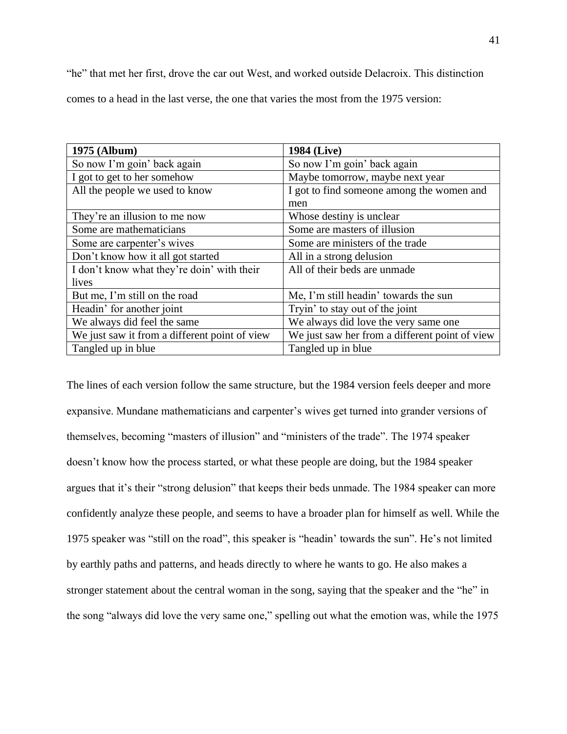"he" that met her first, drove the car out West, and worked outside Delacroix. This distinction comes to a head in the last verse, the one that varies the most from the 1975 version:

| 1975 (Album)                                  | 1984 (Live)                                    |
|-----------------------------------------------|------------------------------------------------|
| So now I'm goin' back again                   | So now I'm goin' back again                    |
| I got to get to her somehow                   | Maybe tomorrow, maybe next year                |
| All the people we used to know                | I got to find someone among the women and      |
|                                               | men                                            |
| They're an illusion to me now                 | Whose destiny is unclear                       |
| Some are mathematicians                       | Some are masters of illusion                   |
| Some are carpenter's wives                    | Some are ministers of the trade                |
| Don't know how it all got started             | All in a strong delusion                       |
| I don't know what they're doin' with their    | All of their beds are unmade                   |
| lives                                         |                                                |
| But me, I'm still on the road                 | Me, I'm still headin' towards the sun          |
| Headin' for another joint                     | Tryin' to stay out of the joint                |
| We always did feel the same                   | We always did love the very same one           |
| We just saw it from a different point of view | We just saw her from a different point of view |
| Tangled up in blue                            | Tangled up in blue                             |

The lines of each version follow the same structure, but the 1984 version feels deeper and more expansive. Mundane mathematicians and carpenter's wives get turned into grander versions of themselves, becoming "masters of illusion" and "ministers of the trade". The 1974 speaker doesn't know how the process started, or what these people are doing, but the 1984 speaker argues that it's their "strong delusion" that keeps their beds unmade. The 1984 speaker can more confidently analyze these people, and seems to have a broader plan for himself as well. While the 1975 speaker was "still on the road", this speaker is "headin' towards the sun". He's not limited by earthly paths and patterns, and heads directly to where he wants to go. He also makes a stronger statement about the central woman in the song, saying that the speaker and the "he" in the song "always did love the very same one," spelling out what the emotion was, while the 1975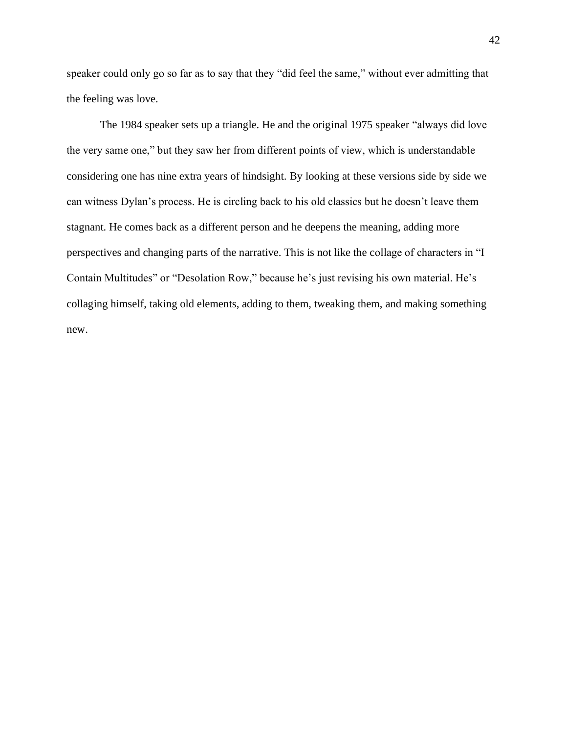speaker could only go so far as to say that they "did feel the same," without ever admitting that the feeling was love.

The 1984 speaker sets up a triangle. He and the original 1975 speaker "always did love the very same one," but they saw her from different points of view, which is understandable considering one has nine extra years of hindsight. By looking at these versions side by side we can witness Dylan's process. He is circling back to his old classics but he doesn't leave them stagnant. He comes back as a different person and he deepens the meaning, adding more perspectives and changing parts of the narrative. This is not like the collage of characters in "I Contain Multitudes" or "Desolation Row," because he's just revising his own material. He's collaging himself, taking old elements, adding to them, tweaking them, and making something new.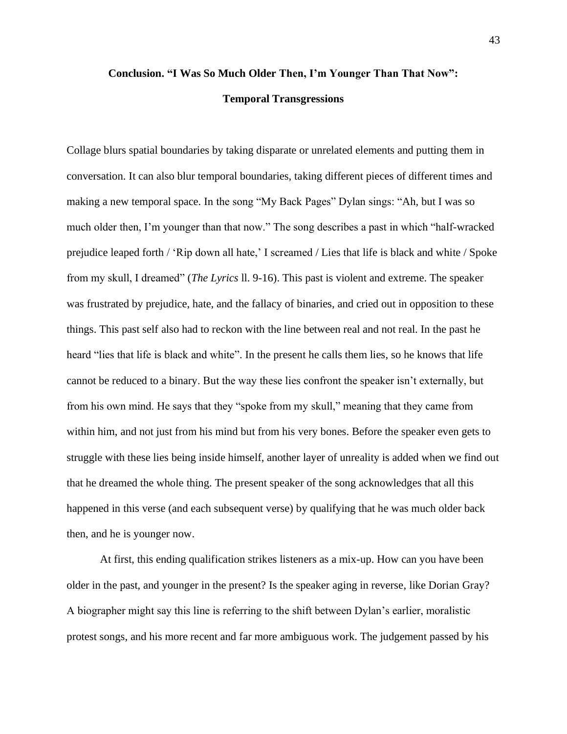# **Conclusion. "I Was So Much Older Then, I'm Younger Than That Now": Temporal Transgressions**

Collage blurs spatial boundaries by taking disparate or unrelated elements and putting them in conversation. It can also blur temporal boundaries, taking different pieces of different times and making a new temporal space. In the song "My Back Pages" Dylan sings: "Ah, but I was so much older then, I'm younger than that now." The song describes a past in which "half-wracked prejudice leaped forth / 'Rip down all hate,' I screamed / Lies that life is black and white / Spoke from my skull, I dreamed" (*The Lyrics* ll. 9-16). This past is violent and extreme. The speaker was frustrated by prejudice, hate, and the fallacy of binaries, and cried out in opposition to these things. This past self also had to reckon with the line between real and not real. In the past he heard "lies that life is black and white". In the present he calls them lies, so he knows that life cannot be reduced to a binary. But the way these lies confront the speaker isn't externally, but from his own mind. He says that they "spoke from my skull," meaning that they came from within him, and not just from his mind but from his very bones. Before the speaker even gets to struggle with these lies being inside himself, another layer of unreality is added when we find out that he dreamed the whole thing. The present speaker of the song acknowledges that all this happened in this verse (and each subsequent verse) by qualifying that he was much older back then, and he is younger now.

At first, this ending qualification strikes listeners as a mix-up. How can you have been older in the past, and younger in the present? Is the speaker aging in reverse, like Dorian Gray? A biographer might say this line is referring to the shift between Dylan's earlier, moralistic protest songs, and his more recent and far more ambiguous work. The judgement passed by his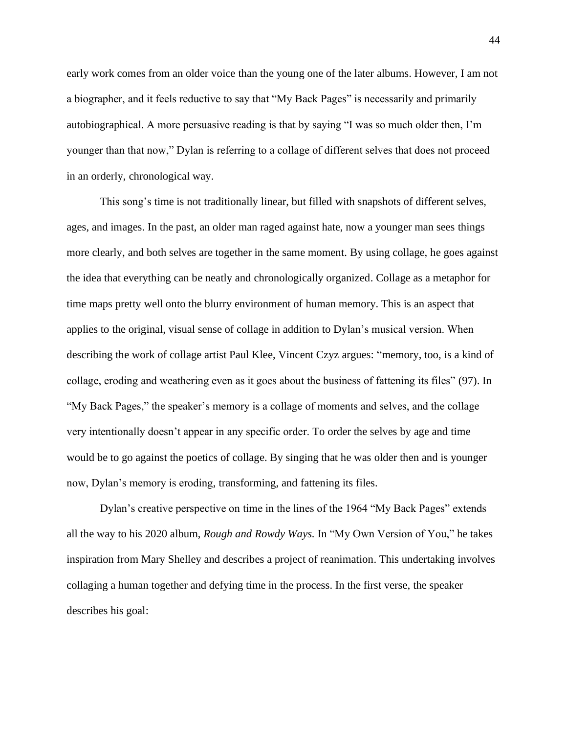early work comes from an older voice than the young one of the later albums. However, I am not a biographer, and it feels reductive to say that "My Back Pages" is necessarily and primarily autobiographical. A more persuasive reading is that by saying "I was so much older then, I'm younger than that now," Dylan is referring to a collage of different selves that does not proceed in an orderly, chronological way.

This song's time is not traditionally linear, but filled with snapshots of different selves, ages, and images. In the past, an older man raged against hate, now a younger man sees things more clearly, and both selves are together in the same moment. By using collage, he goes against the idea that everything can be neatly and chronologically organized. Collage as a metaphor for time maps pretty well onto the blurry environment of human memory. This is an aspect that applies to the original, visual sense of collage in addition to Dylan's musical version. When describing the work of collage artist Paul Klee, Vincent Czyz argues: "memory, too, is a kind of collage, eroding and weathering even as it goes about the business of fattening its files" (97). In "My Back Pages," the speaker's memory is a collage of moments and selves, and the collage very intentionally doesn't appear in any specific order. To order the selves by age and time would be to go against the poetics of collage. By singing that he was older then and is younger now, Dylan's memory is eroding, transforming, and fattening its files.

Dylan's creative perspective on time in the lines of the 1964 "My Back Pages" extends all the way to his 2020 album, *Rough and Rowdy Ways.* In "My Own Version of You," he takes inspiration from Mary Shelley and describes a project of reanimation. This undertaking involves collaging a human together and defying time in the process. In the first verse, the speaker describes his goal: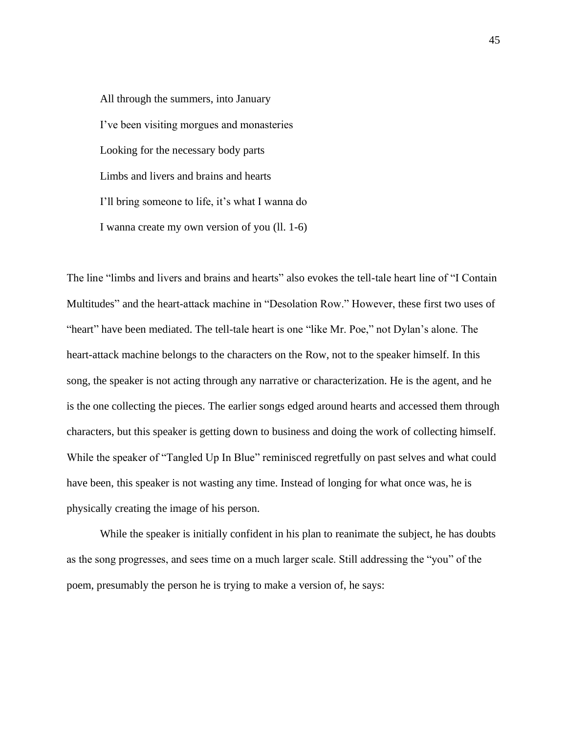All through the summers, into January I've been visiting morgues and monasteries Looking for the necessary body parts Limbs and livers and brains and hearts I'll bring someone to life, it's what I wanna do I wanna create my own version of you (ll. 1-6)

The line "limbs and livers and brains and hearts" also evokes the tell-tale heart line of "I Contain Multitudes" and the heart-attack machine in "Desolation Row." However, these first two uses of "heart" have been mediated. The tell-tale heart is one "like Mr. Poe," not Dylan's alone. The heart-attack machine belongs to the characters on the Row, not to the speaker himself. In this song, the speaker is not acting through any narrative or characterization. He is the agent, and he is the one collecting the pieces. The earlier songs edged around hearts and accessed them through characters, but this speaker is getting down to business and doing the work of collecting himself. While the speaker of "Tangled Up In Blue" reminisced regretfully on past selves and what could have been, this speaker is not wasting any time. Instead of longing for what once was, he is physically creating the image of his person.

While the speaker is initially confident in his plan to reanimate the subject, he has doubts as the song progresses, and sees time on a much larger scale. Still addressing the "you" of the poem, presumably the person he is trying to make a version of, he says: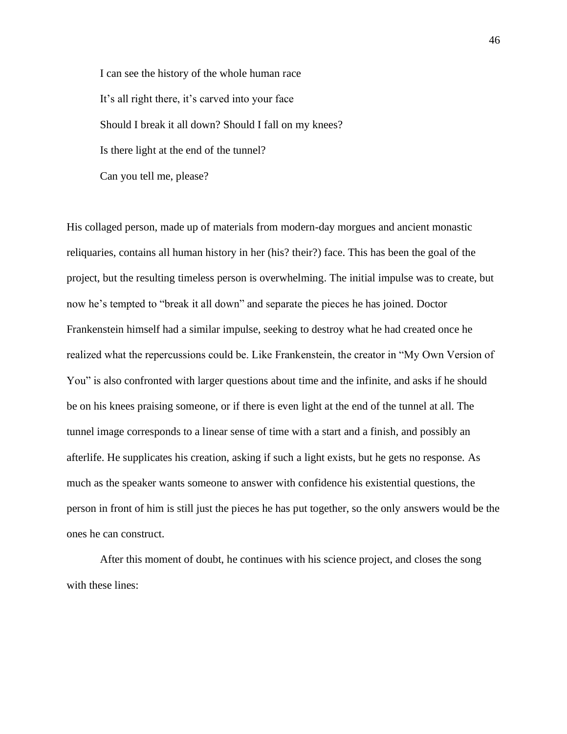I can see the history of the whole human race It's all right there, it's carved into your face Should I break it all down? Should I fall on my knees? Is there light at the end of the tunnel? Can you tell me, please?

His collaged person, made up of materials from modern-day morgues and ancient monastic reliquaries, contains all human history in her (his? their?) face. This has been the goal of the project, but the resulting timeless person is overwhelming. The initial impulse was to create, but now he's tempted to "break it all down" and separate the pieces he has joined. Doctor Frankenstein himself had a similar impulse, seeking to destroy what he had created once he realized what the repercussions could be. Like Frankenstein, the creator in "My Own Version of You" is also confronted with larger questions about time and the infinite, and asks if he should be on his knees praising someone, or if there is even light at the end of the tunnel at all. The tunnel image corresponds to a linear sense of time with a start and a finish, and possibly an afterlife. He supplicates his creation, asking if such a light exists, but he gets no response. As much as the speaker wants someone to answer with confidence his existential questions, the person in front of him is still just the pieces he has put together, so the only answers would be the ones he can construct.

After this moment of doubt, he continues with his science project, and closes the song with these lines: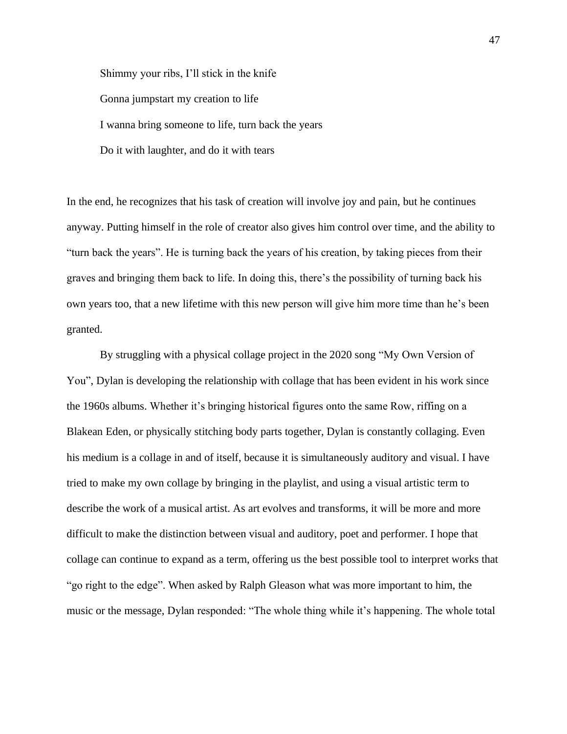Shimmy your ribs, I'll stick in the knife Gonna jumpstart my creation to life I wanna bring someone to life, turn back the years Do it with laughter, and do it with tears

In the end, he recognizes that his task of creation will involve joy and pain, but he continues anyway. Putting himself in the role of creator also gives him control over time, and the ability to "turn back the years". He is turning back the years of his creation, by taking pieces from their graves and bringing them back to life. In doing this, there's the possibility of turning back his own years too, that a new lifetime with this new person will give him more time than he's been granted.

By struggling with a physical collage project in the 2020 song "My Own Version of You", Dylan is developing the relationship with collage that has been evident in his work since the 1960s albums. Whether it's bringing historical figures onto the same Row, riffing on a Blakean Eden, or physically stitching body parts together, Dylan is constantly collaging. Even his medium is a collage in and of itself, because it is simultaneously auditory and visual. I have tried to make my own collage by bringing in the playlist, and using a visual artistic term to describe the work of a musical artist. As art evolves and transforms, it will be more and more difficult to make the distinction between visual and auditory, poet and performer. I hope that collage can continue to expand as a term, offering us the best possible tool to interpret works that "go right to the edge". When asked by Ralph Gleason what was more important to him, the music or the message, Dylan responded: "The whole thing while it's happening. The whole total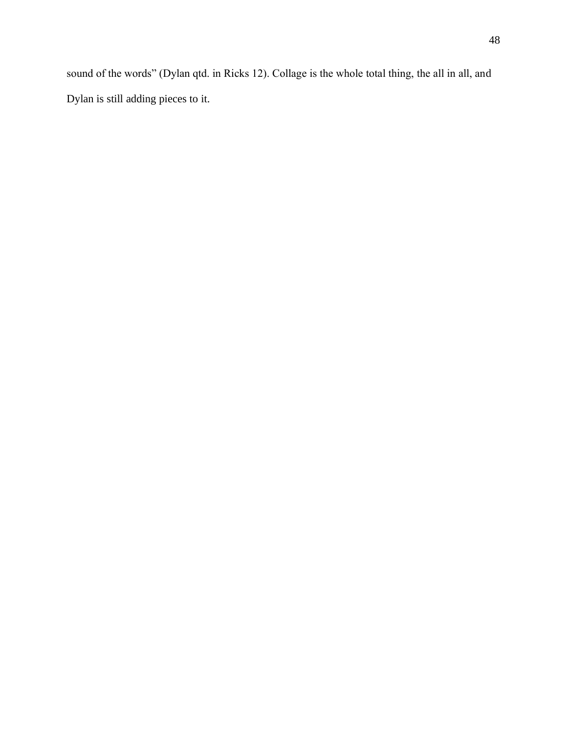sound of the words" (Dylan qtd. in Ricks 12). Collage is the whole total thing, the all in all, and Dylan is still adding pieces to it.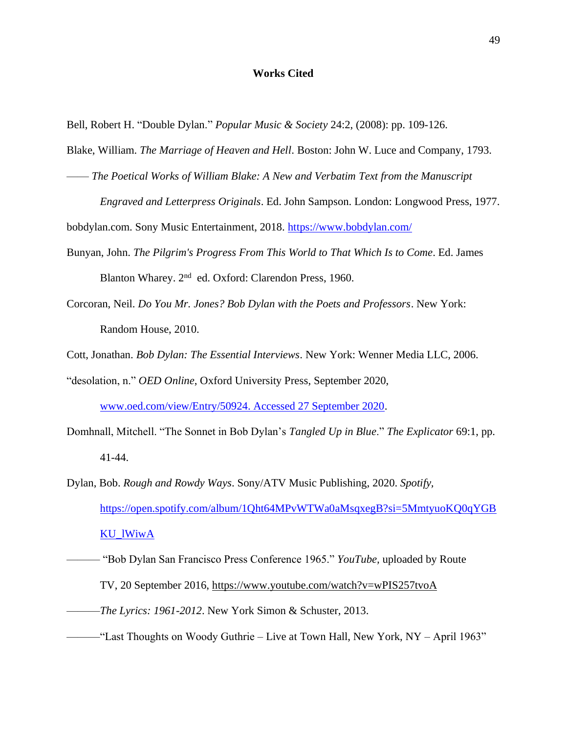#### **Works Cited**

- Bell, Robert H. "Double Dylan." *Popular Music & Society* 24:2, (2008): pp. 109-126.
- Blake, William. *The Marriage of Heaven and Hell*. Boston: John W. Luce and Company, 1793.
- —— *The Poetical Works of William Blake: A New and Verbatim Text from the Manuscript Engraved and Letterpress Originals*. Ed. John Sampson. London: Longwood Press, 1977.
- bobdylan.com. Sony Music Entertainment, 2018.<https://www.bobdylan.com/>
- Bunyan, John. *The Pilgrim's Progress From This World to That Which Is to Come*. Ed. James Blanton Wharey. 2<sup>nd</sup> ed. Oxford: Clarendon Press, 1960.
- Corcoran, Neil. *Do You Mr. Jones? Bob Dylan with the Poets and Professors*. New York: Random House, 2010.
- Cott, Jonathan. *Bob Dylan: The Essential Interviews*. New York: Wenner Media LLC, 2006.
- "desolation, n." *OED Online*, Oxford University Press, September 2020, [www.oed.com/view/Entry/50924. Accessed 27 September 2020.](http://www.oed.com/view/Entry/50924.%20Accessed%2027%20September%202020)
- Domhnall, Mitchell. "The Sonnet in Bob Dylan's *Tangled Up in Blue*." *The Explicator* 69:1, pp. 41-44.
- Dylan, Bob. *Rough and Rowdy Ways*. Sony/ATV Music Publishing, 2020. *Spotify,*  [https://open.spotify.com/album/1Qht64MPvWTWa0aMsqxegB?si=5MmtyuoKQ0qYGB](https://open.spotify.com/album/1Qht64MPvWTWa0aMsqxegB?si=5MmtyuoKQ0qYGB%09KU_lWiwA) [KU\\_lWiwA](https://open.spotify.com/album/1Qht64MPvWTWa0aMsqxegB?si=5MmtyuoKQ0qYGB%09KU_lWiwA)
- "Bob Dylan San Francisco Press Conference 1965." *YouTube*, uploaded by Route TV, 20 September 2016, <https://www.youtube.com/watch?v=wPIS257tvoA>
- ———*The Lyrics: 1961-2012*. New York Simon & Schuster, 2013.
- $-$ "Last Thoughts on Woody Guthrie Live at Town Hall, New York, NY April 1963"